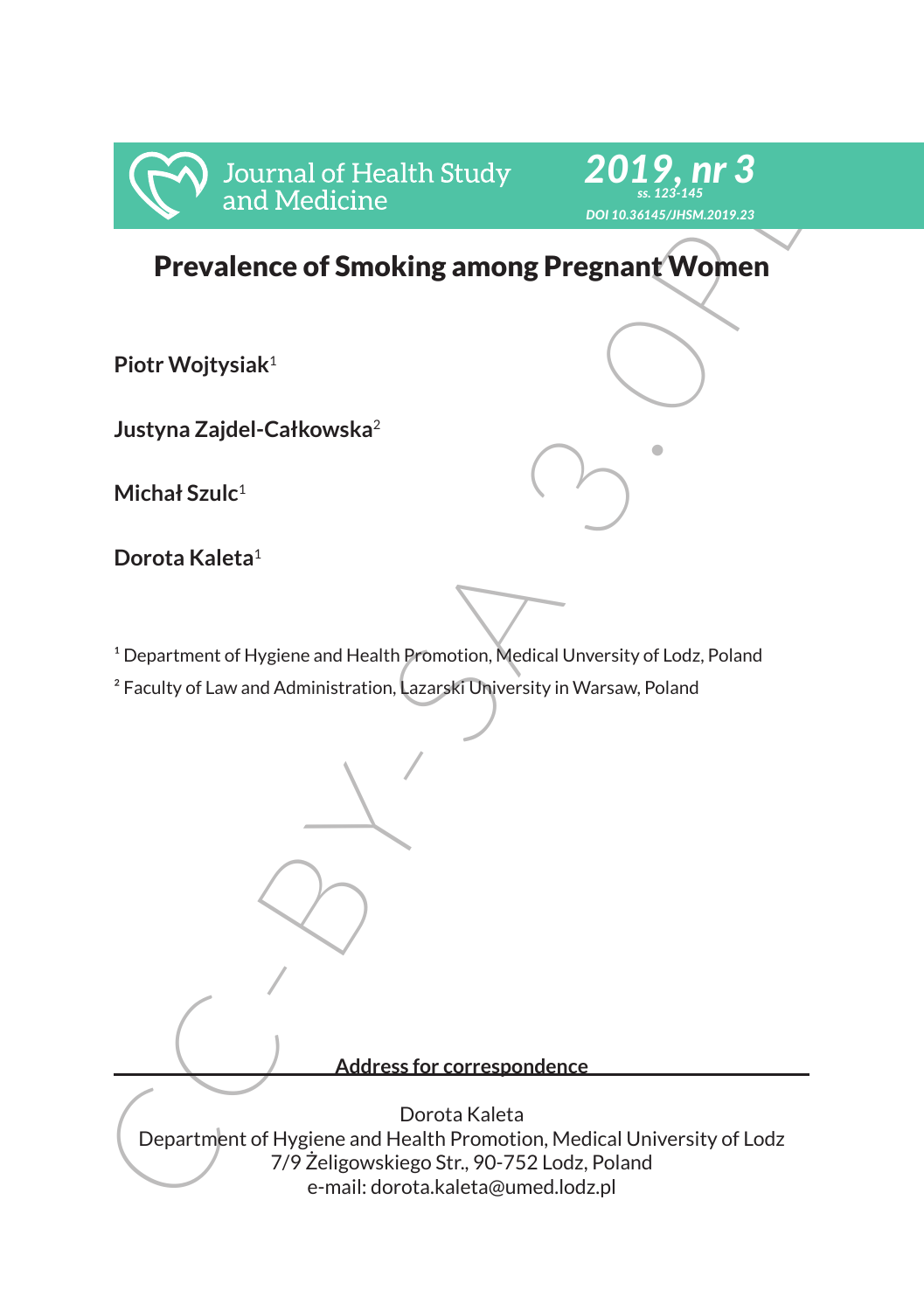



# Prevalence of Smoking among Pregnant Women

**Piotr Wojtysiak**<sup>1</sup>

**Justyna Zajdel-Całkowska**<sup>2</sup>

**Michał Szulc**<sup>1</sup>

**Dorota Kaleta**<sup>1</sup>

<sup>1</sup> Department of Hygiene and Health Promotion, Medical Unversity of Lodz, Poland

² Faculty of Law and Administration, Lazarski University in Warsaw, Poland

**Address for correspondence**

Frevalence of Smoking among Pregnant Women<br>
Prevalence of Smoking among Pregnant Women<br>
Piotr Wojtysiak<sup>1</sup><br>
Justyna Zajdel-Całkowska<sup>2</sup><br>
Michał Szulc'<br>
Dorota Kaleta<br>
<sup>2</sup> Department of Hygiene and Health Promotion, Medical Dorota Kaleta Department of Hygiene and Health Promotion, Medical University of Lodz 7/9 Żeligowskiego Str., 90-752 Lodz, Poland e-mail: dorota.kaleta@umed.lodz.pl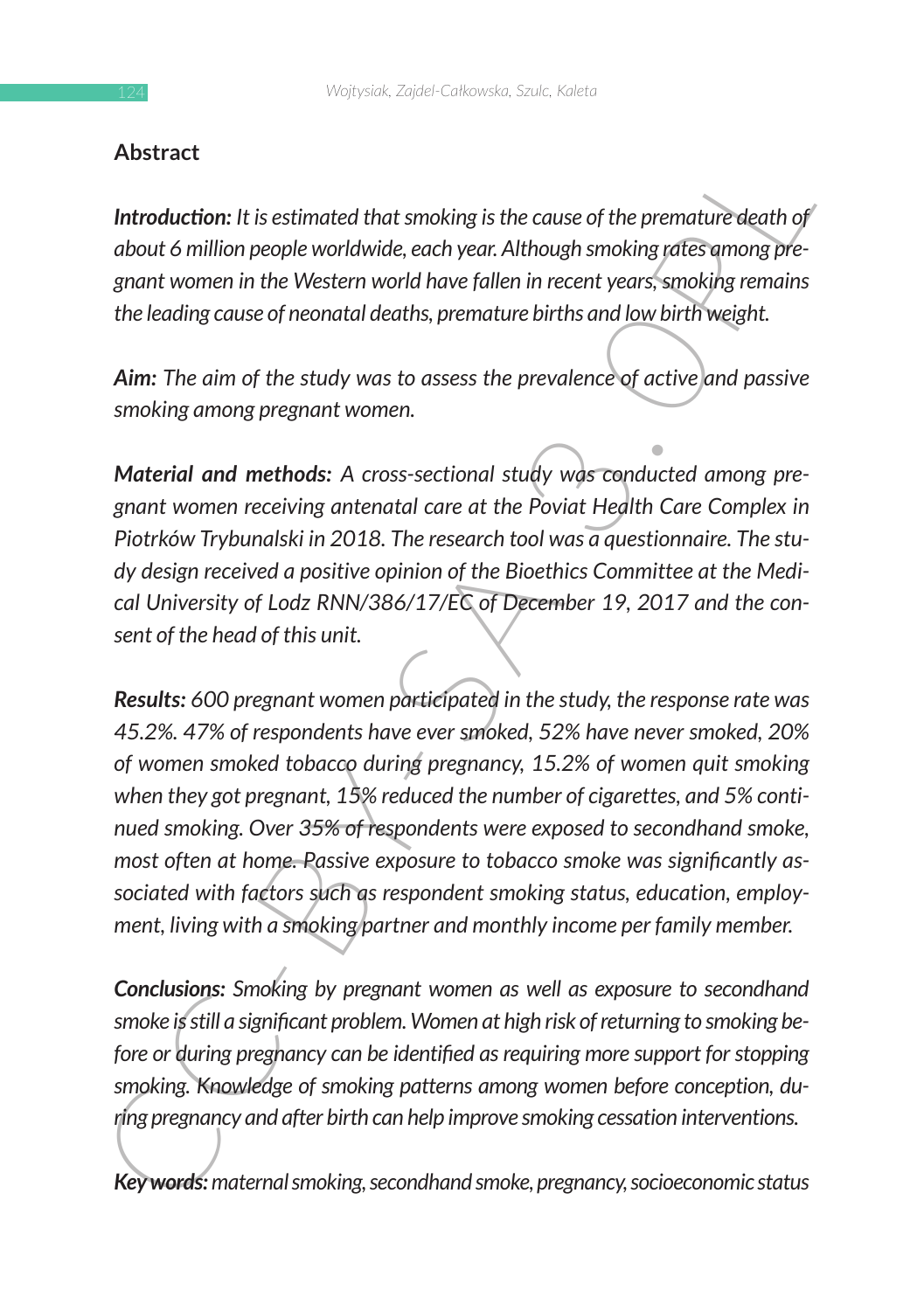## **Abstract**

*Introduction: It is estimated that smoking is the cause of the premature death of about 6 million people worldwide, each year. Although smoking rates among pregnant women in the Western world have fallen in recent years, smoking remains the leading cause of neonatal deaths, premature births and low birth weight.*

*Aim: The aim of the study was to assess the prevalence of active and passive smoking among pregnant women.*

*Material and methods: A cross-sectional study was conducted among pregnant women receiving antenatal care at the Poviat Health Care Complex in Piotrków Trybunalski in 2018. The research tool was a questionnaire. The study design received a positive opinion of the Bioethics Committee at the Medical University of Lodz RNN/386/17/EC of December 19, 2017 and the consent of the head of this unit.*

**Absolvative**<br> **Contains:** It is estimated that smoking is the cause of the premature death of<br>
and thinding people worldwide, each year. Although smoking andEarly and<br>
gradie worldwide, each year. Although smoking andEar *Results: 600 pregnant women participated in the study, the response rate was 45.2%. 47% of respondents have ever smoked, 52% have never smoked, 20% of women smoked tobacco during pregnancy, 15.2% of women quit smoking when they got pregnant, 15% reduced the number of cigarettes, and 5% continued smoking. Over 35% of respondents were exposed to secondhand smoke, most often at home. Passive exposure to tobacco smoke was significantly associated with factors such as respondent smoking status, education, employment, living with a smoking partner and monthly income per family member.*

*Conclusions: Smoking by pregnant women as well as exposure to secondhand smoke is still a significant problem. Women at high risk of returning to smoking before or during pregnancy can be identified as requiring more support for stopping smoking. Knowledge of smoking patterns among women before conception, during pregnancy and after birth can help improve smoking cessation interventions.*

*Key words: maternal smoking, secondhand smoke, pregnancy, socioeconomic status*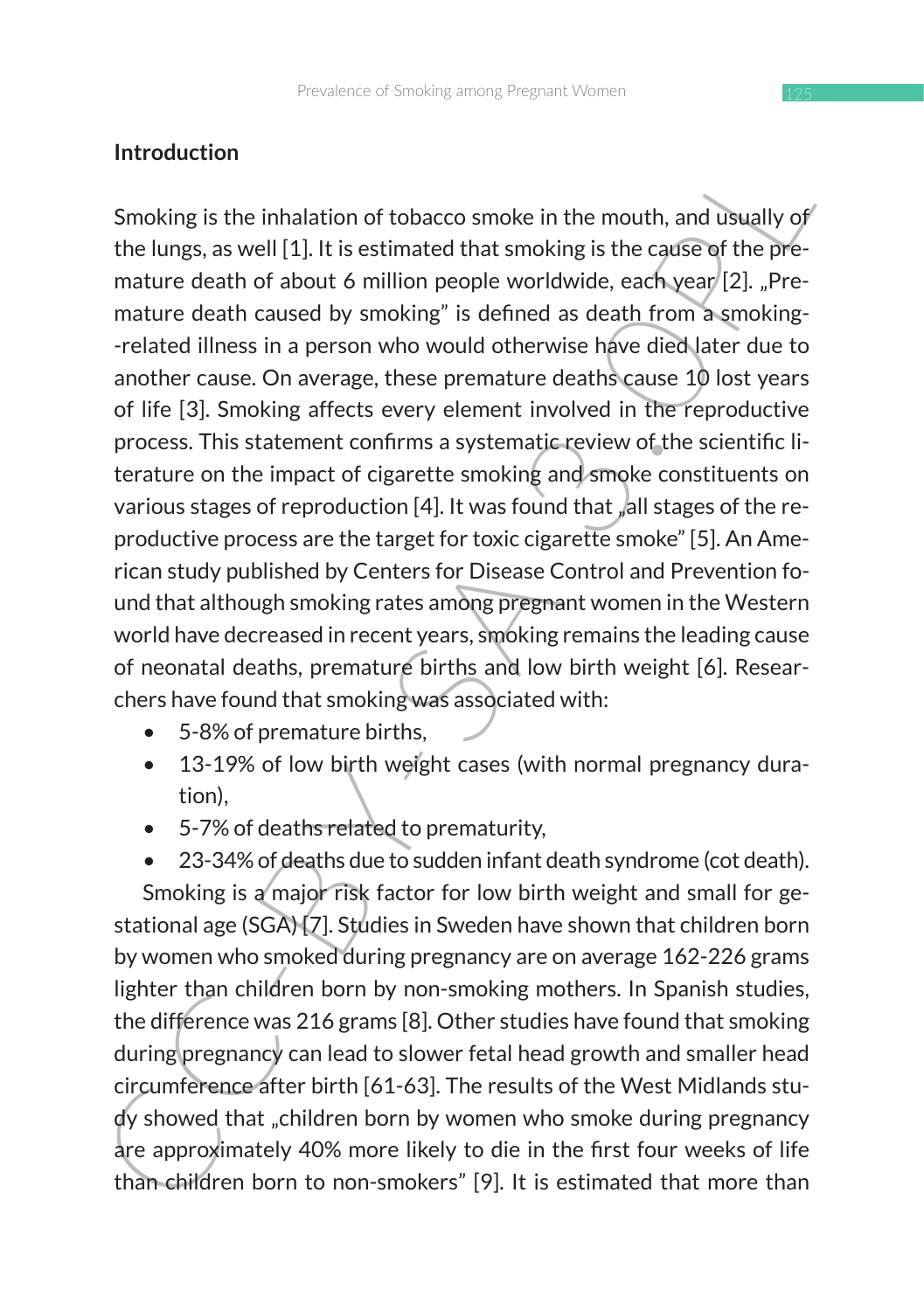## **Introduction**

Introduction<br>
Smoking is the inhalation of tobacco smoke in the mouth, and usually of<br>
the lungs, as well [1]. It is estimated that smoking is the cases of the pre-<br>
mature death of about 6 million people worldwide, each Smoking is the inhalation of tobacco smoke in the mouth, and usually of the lungs, as well [1]. It is estimated that smoking is the cause of the premature death of about 6 million people worldwide, each year [2]. "Premature death caused by smoking" is defined as death from a smoking- -related illness in a person who would otherwise have died later due to another cause. On average, these premature deaths cause 10 lost years of life [3]. Smoking affects every element involved in the reproductive process. This statement confirms a systematic review of the scientific literature on the impact of cigarette smoking and smoke constituents on various stages of reproduction [4]. It was found that "all stages of the reproductive process are the target for toxic cigarette smoke" [5]. An American study published by Centers for Disease Control and Prevention found that although smoking rates among pregnant women in the Western world have decreased in recent years, smoking remains the leading cause of neonatal deaths, premature births and low birth weight [6]. Researchers have found that smoking was associated with:

- 5-8% of premature births,
- 13-19% of low birth weight cases (with normal pregnancy duration),
- 5-7% of deaths related to prematurity,
- 23-34% of deaths due to sudden infant death syndrome (cot death).

Smoking is a major risk factor for low birth weight and small for gestational age (SGA) [7]. Studies in Sweden have shown that children born by women who smoked during pregnancy are on average 162-226 grams lighter than children born by non-smoking mothers. In Spanish studies, the difference was 216 grams [8]. Other studies have found that smoking during pregnancy can lead to slower fetal head growth and smaller head circumference after birth [61-63]. The results of the West Midlands study showed that "children born by women who smoke during pregnancy are approximately 40% more likely to die in the first four weeks of life than children born to non-smokers" [9]. It is estimated that more than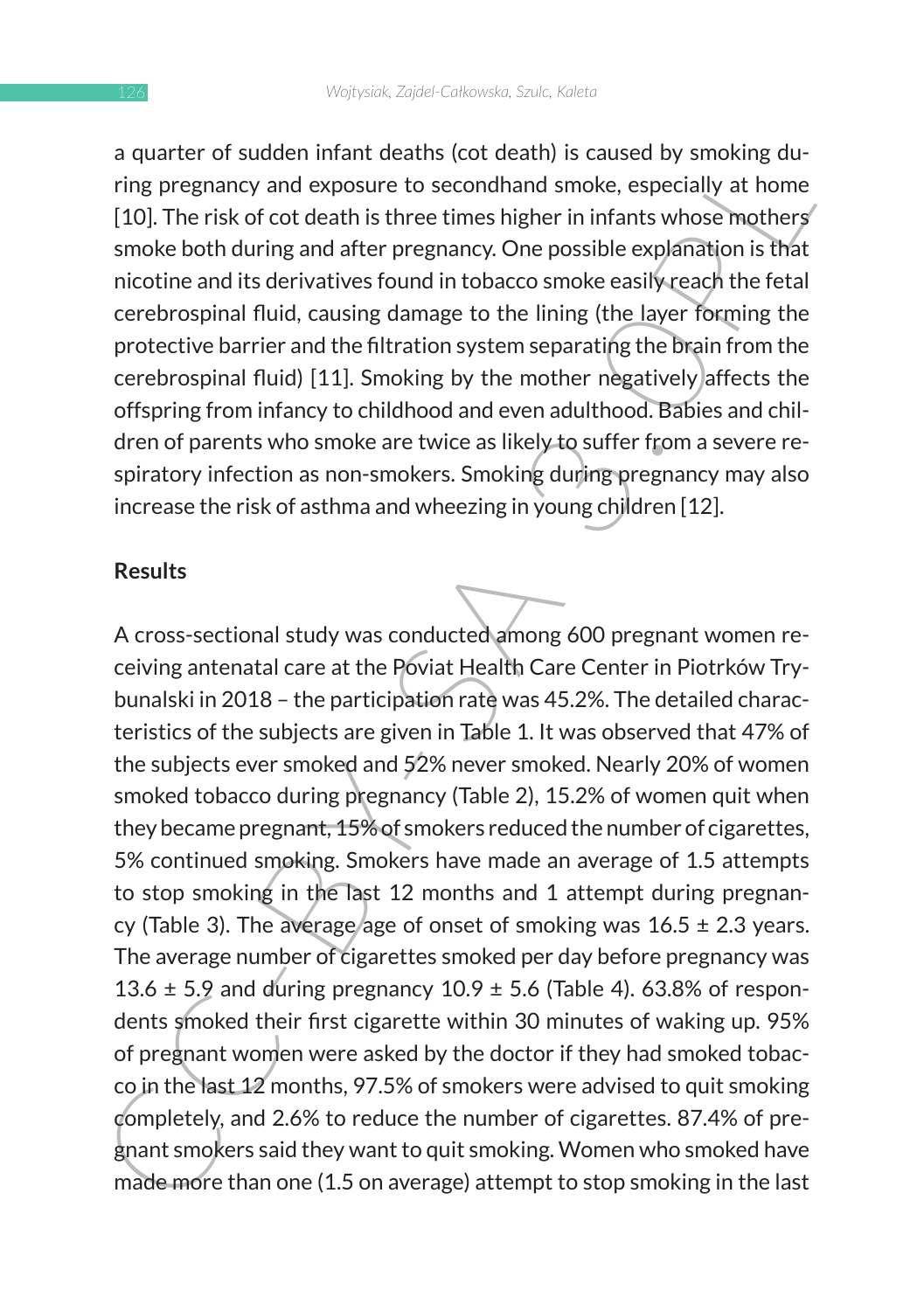a quarter of sudden infant deaths (cot death) is caused by smoking during pregnancy and exposure to secondhand smoke, especially at home [10]. The risk of cot death is three times higher in infants whose mothers smoke both during and after pregnancy. One possible explanation is that nicotine and its derivatives found in tobacco smoke easily reach the fetal cerebrospinal fluid, causing damage to the lining (the layer forming the protective barrier and the filtration system separating the brain from the cerebrospinal fluid) [11]. Smoking by the mother negatively affects the offspring from infancy to childhood and even adulthood. Babies and children of parents who smoke are twice as likely to suffer from a severe respiratory infection as non-smokers. Smoking during pregnancy may also increase the risk of asthma and wheezing in young children [12].

#### **Results**

a quare to solute minit useaus, (to usear) is classed by showing during pregnancy and exposure to secondhand smoke, especially at home<br>ting pregnancy and exposure to secondhand smoke, especially at home<br>(10). The risk of A cross-sectional study was conducted among 600 pregnant women receiving antenatal care at the Poviat Health Care Center in Piotrków Trybunalski in 2018 – the participation rate was 45.2%. The detailed characteristics of the subjects are given in Table 1. It was observed that 47% of the subjects ever smoked and 52% never smoked. Nearly 20% of women smoked tobacco during pregnancy (Table 2), 15.2% of women quit when they became pregnant, 15% of smokers reduced the number of cigarettes, 5% continued smoking. Smokers have made an average of 1.5 attempts to stop smoking in the last 12 months and 1 attempt during pregnancy (Table 3). The average age of onset of smoking was  $16.5 \pm 2.3$  years. The average number of cigarettes smoked per day before pregnancy was 13.6  $\pm$  5.9 and during pregnancy 10.9  $\pm$  5.6 (Table 4). 63.8% of respondents smoked their first cigarette within 30 minutes of waking up. 95% of pregnant women were asked by the doctor if they had smoked tobacco in the last 12 months, 97.5% of smokers were advised to quit smoking completely, and 2.6% to reduce the number of cigarettes. 87.4% of pregnant smokers said they want to quit smoking. Women who smoked have made more than one (1.5 on average) attempt to stop smoking in the last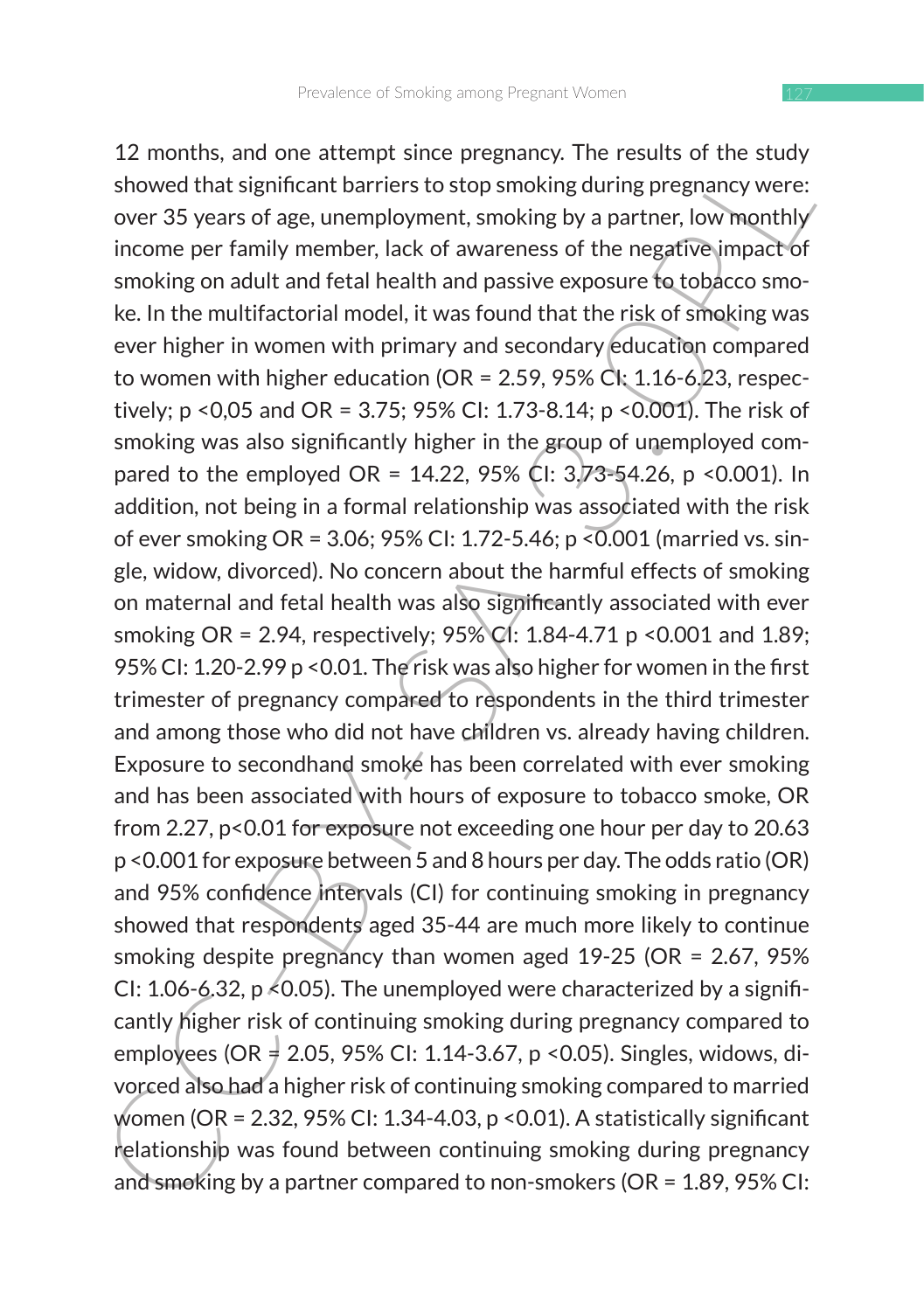12 montana, and other attempt since pregnancy are essays of the subuy<br>chowed that significant barriers to stop smoking during pregnancy were:<br>over 35 years of age, unemployment, smoking by a partner, low monthly<br>income pe 12 months, and one attempt since pregnancy. The results of the study showed that significant barriers to stop smoking during pregnancy were: over 35 years of age, unemployment, smoking by a partner, low monthly income per family member, lack of awareness of the negative impact of smoking on adult and fetal health and passive exposure to tobacco smoke. In the multifactorial model, it was found that the risk of smoking was ever higher in women with primary and secondary education compared to women with higher education (OR = 2.59, 95% CI: 1.16-6.23, respectively; p <0,05 and OR = 3.75; 95% CI: 1.73-8.14; p <0.001). The risk of smoking was also significantly higher in the group of unemployed compared to the employed OR = 14.22, 95% CI:  $3.73 - 54.26$ , p <0.001). In addition, not being in a formal relationship was associated with the risk of ever smoking OR = 3.06; 95% CI: 1.72-5.46; p <0.001 (married vs. single, widow, divorced). No concern about the harmful effects of smoking on maternal and fetal health was also significantly associated with ever smoking OR = 2.94, respectively; 95% CI: 1.84-4.71 p < 0.001 and 1.89; 95% CI: 1.20-2.99 p <0.01. The risk was also higher for women in the first trimester of pregnancy compared to respondents in the third trimester and among those who did not have children vs. already having children. Exposure to secondhand smoke has been correlated with ever smoking and has been associated with hours of exposure to tobacco smoke, OR from 2.27, p<0.01 for exposure not exceeding one hour per day to 20.63 p <0.001 for exposure between 5 and 8 hours per day. The odds ratio (OR) and 95% confidence intervals (CI) for continuing smoking in pregnancy showed that respondents aged 35-44 are much more likely to continue smoking despite pregnancy than women aged 19-25 (OR = 2.67, 95% CI: 1.06-6.32,  $p \le 0.05$ ). The unemployed were characterized by a significantly higher risk of continuing smoking during pregnancy compared to employees (OR = 2.05, 95% CI: 1.14-3.67, p <0.05). Singles, widows, divorced also had a higher risk of continuing smoking compared to married women (OR = 2.32, 95% CI: 1.34-4.03, p <0.01). A statistically significant relationship was found between continuing smoking during pregnancy and smoking by a partner compared to non-smokers (OR = 1.89, 95% CI: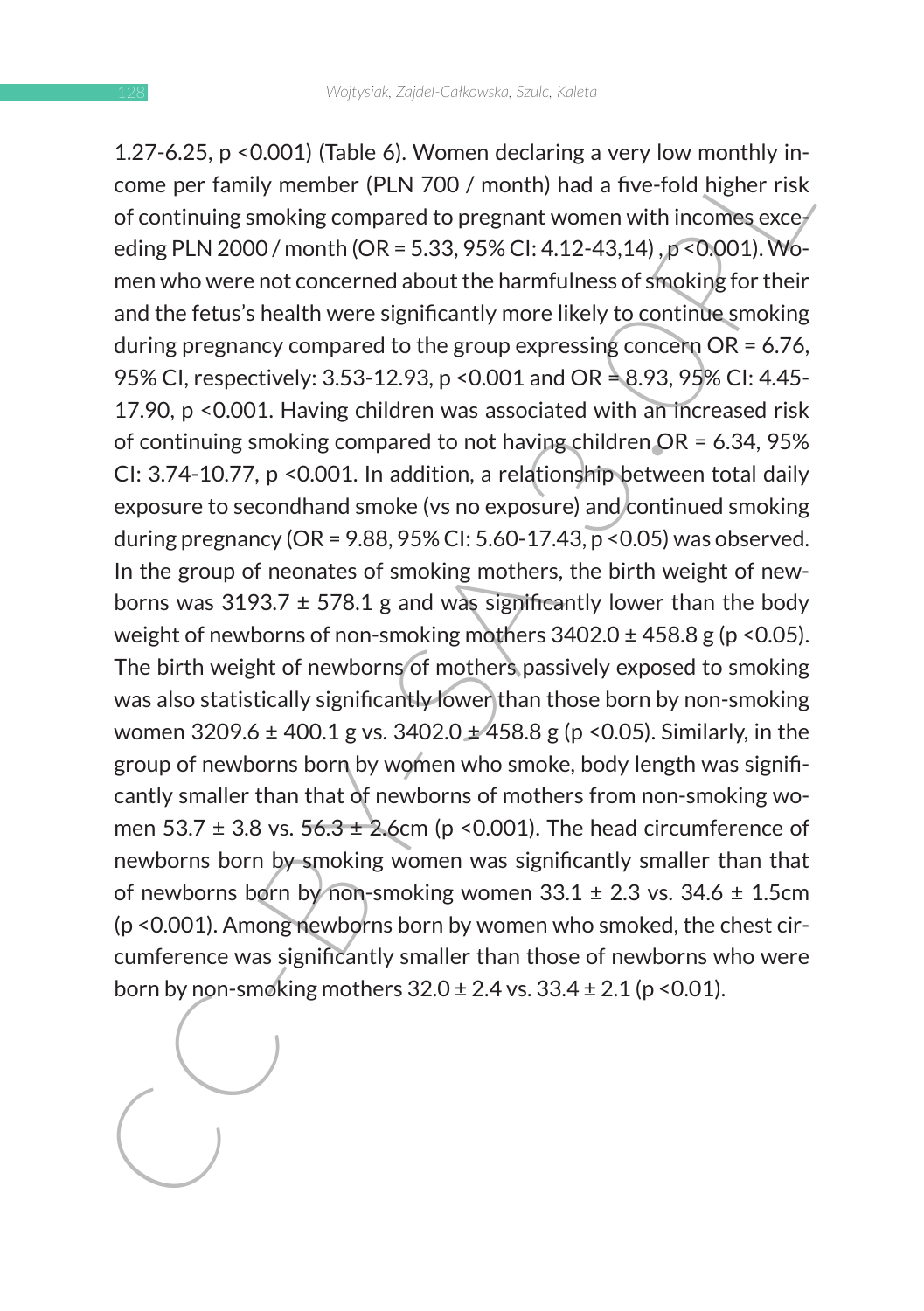1.2.1.2.1.2.1.2.1.2.1.2.1.2.2.1.2.3.3.93% Cluster on the metalling at evy low incoming the party and conne per family member (PLN 700 / month) had a five-fold higher risk of continuing smoking compared to pregnant women w 1.27-6.25, p <0.001) (Table 6). Women declaring a very low monthly income per family member (PLN 700 / month) had a five-fold higher risk of continuing smoking compared to pregnant women with incomes exceeding PLN 2000 / month (OR = 5.33, 95% CI: 4.12-43,14) , p <0.001). Women who were not concerned about the harmfulness of smoking for their and the fetus's health were significantly more likely to continue smoking during pregnancy compared to the group expressing concern OR = 6.76, 95% CI, respectively: 3.53-12.93, p < 0.001 and OR  $\triangleq$  8.93, 95% CI: 4.45-17.90, p <0.001. Having children was associated with an increased risk of continuing smoking compared to not having children OR = 6.34, 95% CI: 3.74-10.77, p <0.001. In addition, a relationship between total daily exposure to secondhand smoke (vs no exposure) and continued smoking during pregnancy (OR = 9.88, 95% CI: 5.60-17.43,  $\bar{p}$  < 0.05) was observed. In the group of neonates of smoking mothers, the birth weight of newborns was  $3193.7 \pm 578.1$  g and was significantly lower than the body weight of newborns of non-smoking mothers  $3402.0 \pm 458.8$  g (p <0.05). The birth weight of newborns of mothers passively exposed to smoking was also statistically significantly lower than those born by non-smoking women 3209.6  $\pm$  400.1 g vs. 3402.0  $\pm$  458.8 g (p < 0.05). Similarly, in the group of newborns born by women who smoke, body length was significantly smaller than that of newborns of mothers from non-smoking women 53.7  $\pm$  3.8 vs. 56.3  $\pm$  2.6cm (p < 0.001). The head circumference of newborns born by smoking women was significantly smaller than that of newborns born by non-smoking women  $33.1 \pm 2.3$  vs.  $34.6 \pm 1.5$ cm (p <0.001). Among newborns born by women who smoked, the chest circumference was significantly smaller than those of newborns who were born by non-smoking mothers  $32.0 \pm 2.4$  vs.  $33.4 \pm 2.1$  (p <0.01).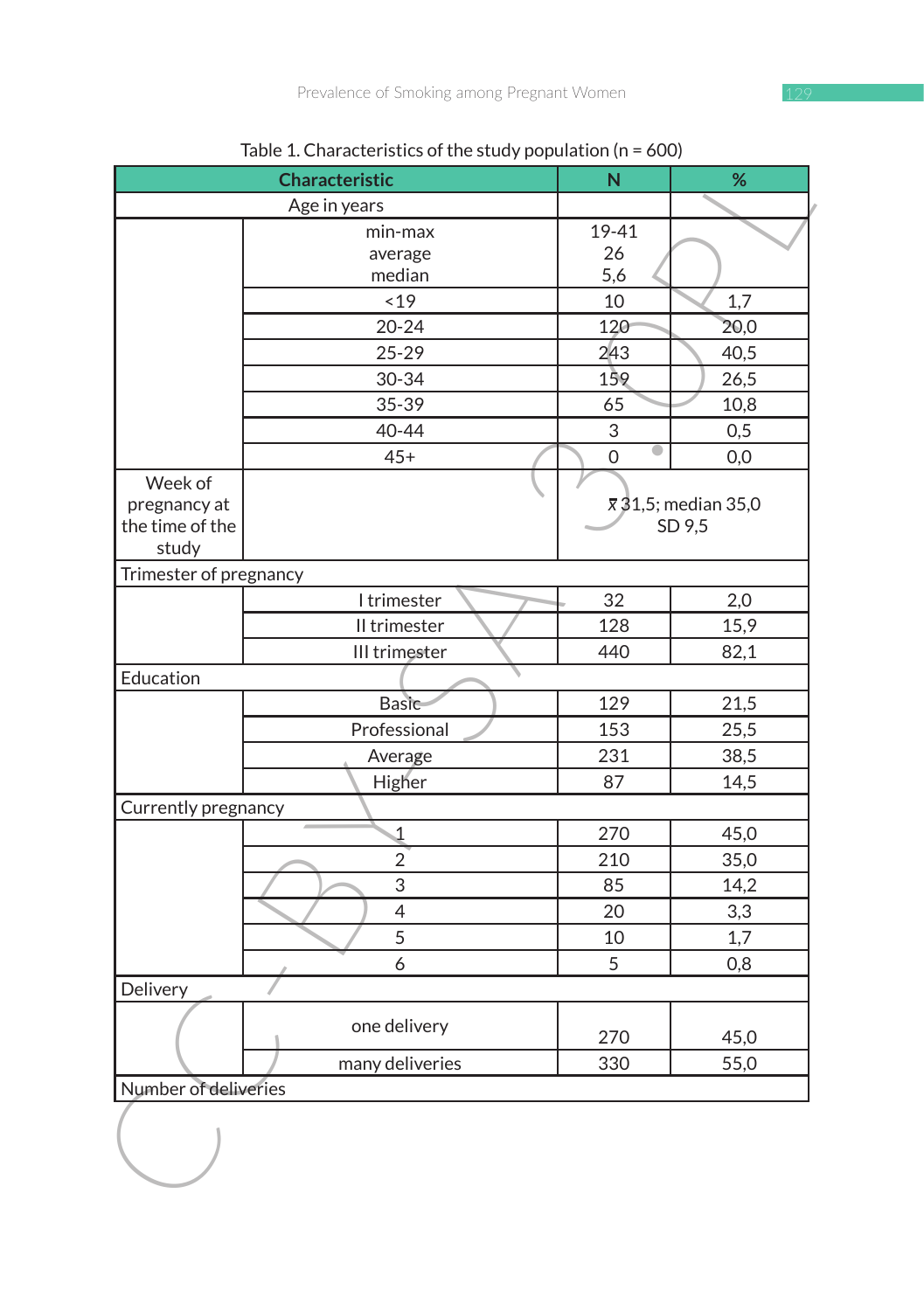|  | - |
|--|---|
|  |   |
|  |   |
|  |   |
|  |   |

| Age in years<br>min-max<br>average<br>median<br>19<br>$20 - 24$<br>$25 - 29$<br>30-34<br>35-39<br>40-44<br>$45+$<br>Week of<br>pregnancy at<br>the time of the<br>study<br>Trimester of pregnancy<br>I trimester<br>II trimester<br>III trimester<br>Education<br>Basic<br>Professional<br>Average<br>Higher<br>Currently pregnancy<br>$\mathbf 1$<br>$\overline{2}$ | 19-41<br>26<br>5,6<br>10<br>120<br>243<br>159<br>65<br>3<br>$\Omega$<br>32<br>128<br>440<br>129<br>153 | 1,7<br>20,0<br>40,5<br>26,5<br>10,8<br>0,5<br>0,0<br>$\bar{x}$ 31,5; median 35,0<br>SD 9,5<br>2,0<br>15,9<br>82,1<br>21,5<br>25,5 |
|----------------------------------------------------------------------------------------------------------------------------------------------------------------------------------------------------------------------------------------------------------------------------------------------------------------------------------------------------------------------|--------------------------------------------------------------------------------------------------------|-----------------------------------------------------------------------------------------------------------------------------------|
|                                                                                                                                                                                                                                                                                                                                                                      |                                                                                                        |                                                                                                                                   |
|                                                                                                                                                                                                                                                                                                                                                                      |                                                                                                        |                                                                                                                                   |
|                                                                                                                                                                                                                                                                                                                                                                      |                                                                                                        |                                                                                                                                   |
|                                                                                                                                                                                                                                                                                                                                                                      |                                                                                                        |                                                                                                                                   |
|                                                                                                                                                                                                                                                                                                                                                                      |                                                                                                        |                                                                                                                                   |
|                                                                                                                                                                                                                                                                                                                                                                      |                                                                                                        |                                                                                                                                   |
|                                                                                                                                                                                                                                                                                                                                                                      |                                                                                                        |                                                                                                                                   |
|                                                                                                                                                                                                                                                                                                                                                                      |                                                                                                        |                                                                                                                                   |
|                                                                                                                                                                                                                                                                                                                                                                      |                                                                                                        |                                                                                                                                   |
|                                                                                                                                                                                                                                                                                                                                                                      |                                                                                                        |                                                                                                                                   |
|                                                                                                                                                                                                                                                                                                                                                                      |                                                                                                        |                                                                                                                                   |
|                                                                                                                                                                                                                                                                                                                                                                      |                                                                                                        |                                                                                                                                   |
|                                                                                                                                                                                                                                                                                                                                                                      |                                                                                                        |                                                                                                                                   |
|                                                                                                                                                                                                                                                                                                                                                                      |                                                                                                        |                                                                                                                                   |
|                                                                                                                                                                                                                                                                                                                                                                      |                                                                                                        |                                                                                                                                   |
|                                                                                                                                                                                                                                                                                                                                                                      |                                                                                                        |                                                                                                                                   |
|                                                                                                                                                                                                                                                                                                                                                                      |                                                                                                        |                                                                                                                                   |
|                                                                                                                                                                                                                                                                                                                                                                      |                                                                                                        |                                                                                                                                   |
|                                                                                                                                                                                                                                                                                                                                                                      |                                                                                                        |                                                                                                                                   |
|                                                                                                                                                                                                                                                                                                                                                                      |                                                                                                        |                                                                                                                                   |
|                                                                                                                                                                                                                                                                                                                                                                      |                                                                                                        |                                                                                                                                   |
|                                                                                                                                                                                                                                                                                                                                                                      |                                                                                                        |                                                                                                                                   |
|                                                                                                                                                                                                                                                                                                                                                                      | 231                                                                                                    | 38,5                                                                                                                              |
|                                                                                                                                                                                                                                                                                                                                                                      | 87                                                                                                     | 14,5                                                                                                                              |
|                                                                                                                                                                                                                                                                                                                                                                      |                                                                                                        |                                                                                                                                   |
|                                                                                                                                                                                                                                                                                                                                                                      | 270                                                                                                    | 45,0                                                                                                                              |
|                                                                                                                                                                                                                                                                                                                                                                      | 210                                                                                                    | 35,0                                                                                                                              |
| 3                                                                                                                                                                                                                                                                                                                                                                    | 85                                                                                                     | 14,2                                                                                                                              |
| $\overline{4}$                                                                                                                                                                                                                                                                                                                                                       | 20                                                                                                     | 3,3                                                                                                                               |
| 5                                                                                                                                                                                                                                                                                                                                                                    | 10                                                                                                     | 1,7                                                                                                                               |
| 6                                                                                                                                                                                                                                                                                                                                                                    | 5                                                                                                      | 0,8                                                                                                                               |
| Delivery                                                                                                                                                                                                                                                                                                                                                             |                                                                                                        |                                                                                                                                   |
|                                                                                                                                                                                                                                                                                                                                                                      |                                                                                                        |                                                                                                                                   |
| one delivery                                                                                                                                                                                                                                                                                                                                                         | 270                                                                                                    | 45,0                                                                                                                              |
| many deliveries                                                                                                                                                                                                                                                                                                                                                      | 330                                                                                                    | 55,0                                                                                                                              |
| Number of deliveries                                                                                                                                                                                                                                                                                                                                                 |                                                                                                        |                                                                                                                                   |
|                                                                                                                                                                                                                                                                                                                                                                      |                                                                                                        |                                                                                                                                   |

Table 1. Characteristics of the study population (n = 600)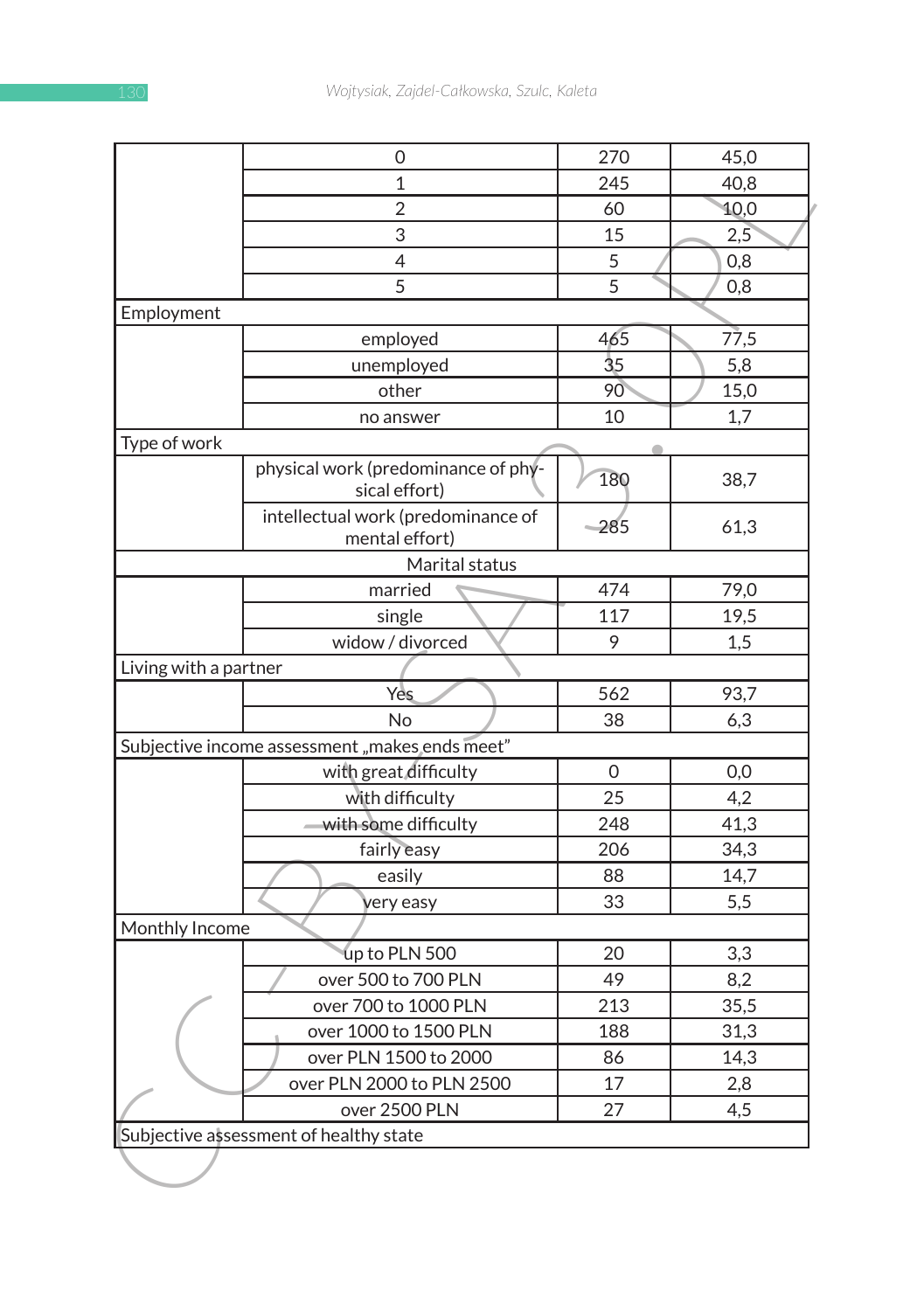|                       | 0                                                    | 270    | 45,0 |
|-----------------------|------------------------------------------------------|--------|------|
|                       | $\mathbf 1$                                          | 245    | 40,8 |
|                       | $\overline{2}$                                       | 60     | 10,0 |
|                       | 3                                                    | 15     | 2,5  |
|                       | 4                                                    | 5      | 0,8  |
|                       | 5                                                    | 5      | 0,8  |
| Employment            |                                                      |        |      |
|                       | employed                                             | 465    | 77,5 |
|                       | unemployed                                           | 35     | 5,8  |
|                       | other                                                | 90     | 15,0 |
|                       | no answer                                            | 10     | 1,7  |
| Type of work          |                                                      |        |      |
|                       | physical work (predominance of phy-<br>sical effort) | 180    | 38,7 |
|                       | intellectual work (predominance of<br>mental effort) | $-285$ | 61,3 |
|                       | Marital status                                       |        |      |
|                       | married                                              | 474    | 79,0 |
|                       | single                                               | 117    | 19,5 |
|                       | widow / divorced                                     | 9      | 1,5  |
| Living with a partner |                                                      |        |      |
|                       | Yes                                                  | 562    | 93,7 |
|                       | No                                                   | 38     | 6,3  |
|                       | Subjective income assessment "makes ends meet"       |        |      |
|                       | with great difficulty                                | 0      | 0,0  |
|                       | with difficulty                                      | 25     | 4,2  |
|                       | with some difficulty                                 | 248    | 41,3 |
|                       | fairly easy                                          | 206    | 34,3 |
|                       | easily                                               | 88     | 14,7 |
|                       | very easy                                            | 33     | 5,5  |
| Monthly Income        |                                                      |        |      |
|                       | up to PLN 500                                        | 20     | 3,3  |
|                       | over 500 to 700 PLN                                  | 49     | 8,2  |
|                       | over 700 to 1000 PLN                                 | 213    | 35,5 |
|                       | over 1000 to 1500 PLN                                | 188    | 31,3 |
|                       | over PLN 1500 to 2000                                | 86     | 14,3 |
|                       | over PLN 2000 to PLN 2500                            | 17     | 2,8  |
|                       | over 2500 PLN                                        | 27     | 4,5  |
|                       |                                                      |        |      |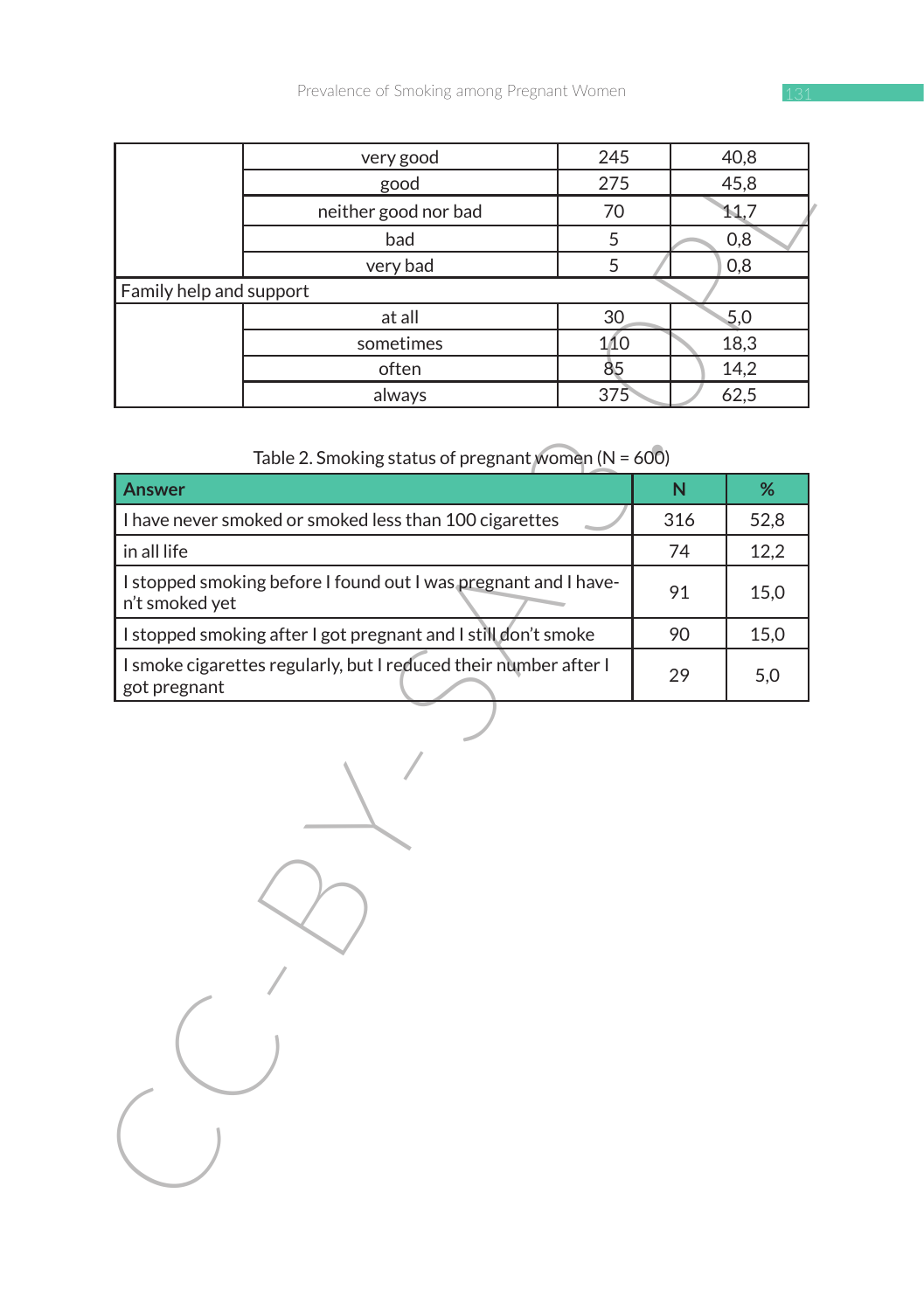| very good                                                                        | 245 |                         | 40,8 |
|----------------------------------------------------------------------------------|-----|-------------------------|------|
| good                                                                             | 275 |                         | 45,8 |
| neither good nor bad                                                             | 70  |                         | 11,7 |
| bad                                                                              | 5   |                         | 0,8  |
| very bad                                                                         | 5   |                         | 0,8  |
| Family help and support                                                          |     |                         |      |
| at all                                                                           | 30  |                         | 5,0  |
| sometimes                                                                        | 110 |                         | 18,3 |
| often                                                                            | 85  |                         | 14,2 |
| always                                                                           | 375 |                         | 62,5 |
| Table 2. Smoking status of pregnant women (N = 600)                              |     |                         |      |
| <b>Answer</b>                                                                    |     | $\overline{\mathsf{N}}$ | %    |
| I have never smoked or smoked less than 100 cigarettes                           |     | 316                     | 52,8 |
| in all life                                                                      |     | 74                      | 12,2 |
| I stopped smoking before I found out I was pregnant and I have-                  |     |                         |      |
| n't smoked yet                                                                   |     | 91                      | 15,0 |
| I stopped smoking after I got pregnant and I still don't smoke                   |     | 90                      | 15,0 |
| I smoke cigarettes regularly, but I reduced their number after I<br>got pregnant |     | 29                      | 5,0  |
|                                                                                  |     |                         |      |

| Table 2. Smoking status of pregnant women ( $N = 600$ ) |  |
|---------------------------------------------------------|--|
|---------------------------------------------------------|--|

| Answer                                                                            | N   | ℅    |
|-----------------------------------------------------------------------------------|-----|------|
| I have never smoked or smoked less than 100 cigarettes                            | 316 | 52,8 |
| in all life                                                                       | 74  | 12,2 |
| I stopped smoking before I found out I was pregnant and I have-<br>n't smoked yet | 91  | 15.0 |
| I stopped smoking after I got pregnant and I still don't smoke                    | 90  | 15.0 |
| I smoke cigarettes regularly, but I reduced their number after I<br>got pregnant  | 29  | 5.0  |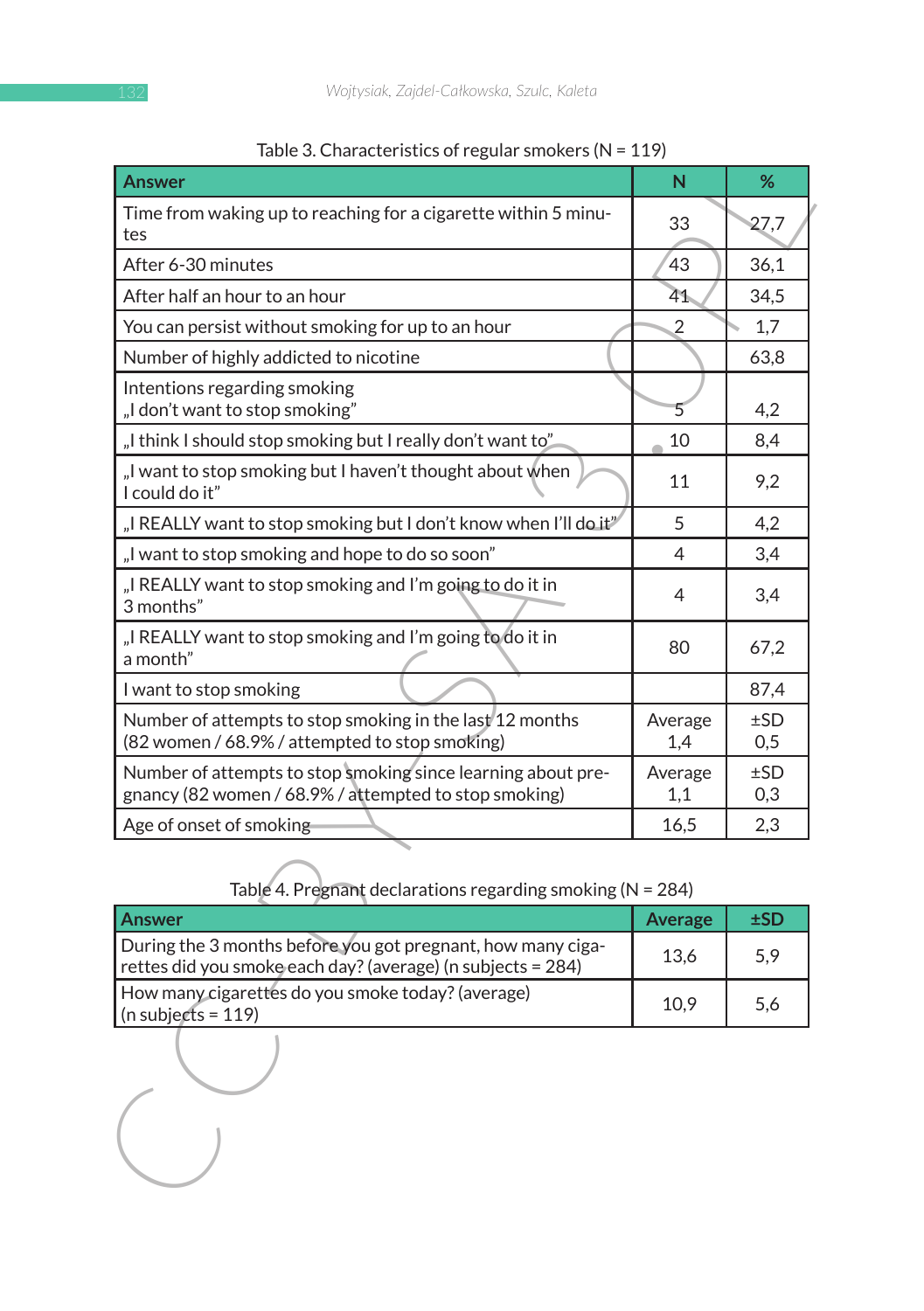| <b>Answer</b>                                                                                                              | N              | %          |
|----------------------------------------------------------------------------------------------------------------------------|----------------|------------|
| Time from waking up to reaching for a cigarette within 5 minu-<br>tes                                                      | 33             | 27,7       |
| After 6-30 minutes                                                                                                         | 43             | 36,1       |
| After half an hour to an hour                                                                                              | 41             | 34,5       |
| You can persist without smoking for up to an hour                                                                          | 2              | 1,7        |
| Number of highly addicted to nicotine                                                                                      |                | 63,8       |
| Intentions regarding smoking<br>"I don't want to stop smoking"                                                             | 5              | 4,2        |
| "I think I should stop smoking but I really don't want to"                                                                 | 10             | 8,4        |
| "I want to stop smoking but I haven't thought about when<br>I could do it"                                                 | 11             | 9,2        |
| "I REALLY want to stop smoking but I don't know when I'll do it"                                                           | 5              | 4,2        |
| "I want to stop smoking and hope to do so soon"                                                                            | 4              | 3,4        |
| "I REALLY want to stop smoking and I'm going to do it in<br>3 months"                                                      | 4              | 3,4        |
| "I REALLY want to stop smoking and I'm going to do it in<br>a month"                                                       | 80             | 67,2       |
| I want to stop smoking                                                                                                     |                | 87,4       |
| Number of attempts to stop smoking in the last 12 months<br>(82 women / 68.9% / attempted to stop smoking)                 | Average<br>1,4 | ±SD<br>0,5 |
| Number of attempts to stop smoking since learning about pre-<br>gnancy (82 women / 68.9% / attempted to stop smoking)      | Average<br>1,1 | ±SD<br>0,3 |
| Age of onset of smoking                                                                                                    | 16,5           | 2,3        |
| Table 4. Pregnant declarations regarding smoking ( $N = 284$ )                                                             |                |            |
| <b>Answer</b>                                                                                                              | <b>Average</b> | ±SD        |
| During the 3 months before you got pregnant, how many ciga-<br>rettes did you smoke each day? (average) (n subjects = 284) | 13,6           | 5,9        |
| How many cigarettes do you smoke today? (average)<br>(n subjects = $119$ )                                                 | 10,9           | 5,6        |
|                                                                                                                            |                |            |

|  | Table 3. Characteristics of regular smokers ( $N = 119$ ) |  |  |  |  |
|--|-----------------------------------------------------------|--|--|--|--|
|--|-----------------------------------------------------------|--|--|--|--|

| Table 4. Pregnant declarations regarding smoking ( $N = 284$ ) |
|----------------------------------------------------------------|
|----------------------------------------------------------------|

| <b>Answer</b>                                                                                                              | Average | ±SD |
|----------------------------------------------------------------------------------------------------------------------------|---------|-----|
| During the 3 months before you got pregnant, how many ciga-<br>rettes did you smoke each day? (average) (n subjects = 284) | 13,6    | 5.9 |
| How many cigarettes do you smoke today? (average)<br>$(n$ subjects = 119)                                                  | 10.9    | 5.6 |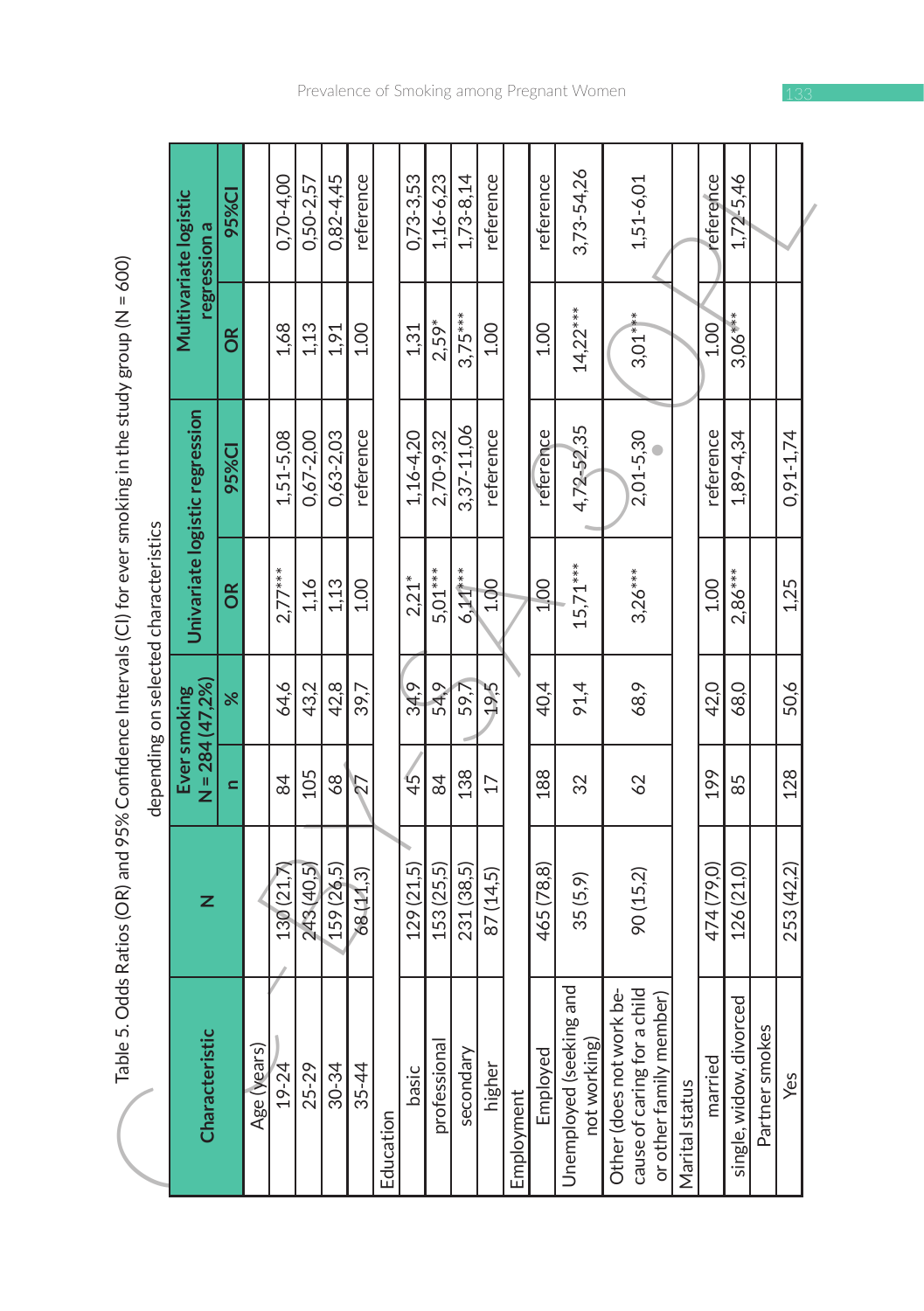| ij              |
|-----------------|
| M / M / M / M / |
|                 |
|                 |
|                 |
|                 |
|                 |
|                 |
|                 |
|                 |
|                 |
|                 |
|                 |
|                 |
|                 |
|                 |
|                 |
|                 |
|                 |
| $\mathbf{I}$    |
|                 |
|                 |
|                 |
|                 |
|                 |
|                 |
|                 |
| こうじょう           |
|                 |
|                 |
|                 |
|                 |
|                 |
| .<br>.<br>.     |
|                 |
|                 |
|                 |
|                 |
|                 |
|                 |
|                 |
|                 |
|                 |
|                 |
|                 |
|                 |
|                 |
|                 |
|                 |
|                 |
|                 |
|                 |
|                 |
|                 |
|                 |
|                 |
|                 |
|                 |
|                 |
|                 |
| $\frac{1}{2}$   |
|                 |
|                 |
|                 |
|                 |
|                 |
|                 |
| į               |
|                 |
|                 |
|                 |
|                 |
|                 |
|                 |
|                 |
| ì               |
|                 |
|                 |
|                 |
|                 |
|                 |
| l               |
|                 |
|                 |
|                 |
| ございしょう コッピュート   |

|                                                        | Table 5. Odds Ratios (OR) and 95% Confidence Intervals (CI) for ever smoking in the study group (N = 600) |                 |                                   |                                       |                                |                   |                                       |
|--------------------------------------------------------|-----------------------------------------------------------------------------------------------------------|-----------------|-----------------------------------|---------------------------------------|--------------------------------|-------------------|---------------------------------------|
|                                                        |                                                                                                           |                 |                                   | depending on selected characteristics |                                |                   |                                       |
| Characteristic                                         | z                                                                                                         |                 | $N = 284(47, 2%)$<br>Ever smoking |                                       | Univariate logistic regression |                   | Multivariate logistic<br>regression a |
|                                                        |                                                                                                           | $\blacksquare$  | ৼ                                 | õ                                     | 95%CI                          | õ                 | 95%CI                                 |
| Age (years)                                            |                                                                                                           |                 |                                   |                                       |                                |                   |                                       |
| $19 - 24$                                              | 130 <sub>(21,7)</sub>                                                                                     | 84              | 64,6                              | $2.77***$                             | 1,51-5.08                      | 1,68              | 0,70-4,00                             |
| $25 - 29$                                              | 243 (40.5)                                                                                                | 105             | 43,2                              | 1,16                                  | $0,67 - 2,00$                  | 1,13              | $0,50 - 2,57$                         |
| $30 - 34$                                              | 159 (26,5)                                                                                                | 68              | 42,8                              | 1,13                                  | $0,63 - 2,03$                  | 1,91              | 0,82-4,45                             |
| $35 - 44$                                              | 68 (11,3)                                                                                                 | 27              | 39,7                              | 1.00                                  | reference                      | 1.00              | reference                             |
| Education                                              |                                                                                                           |                 |                                   |                                       |                                |                   |                                       |
| basic                                                  | 129 (21,5)                                                                                                | 45              | 34,9                              | $2,21*$                               | $1,16-4,20$                    | 1,31              | 0,73-3,53                             |
| professional                                           | 153 (25.5)                                                                                                | 84              | 54.9                              | 5,01***                               | 2,70-9,32                      | 2,59*             | $1,16-6,23$                           |
| secondar                                               | 231 (38,5)                                                                                                | 138             | 59,7                              | $6.11***$                             | 3,37-11,06                     | $3,75***$         | 1,73-8,14                             |
| higher                                                 | 87 (14,5)                                                                                                 | $\overline{17}$ | 367                               | 1,00                                  | reference                      | 1.00              | reference                             |
| Employment                                             |                                                                                                           |                 |                                   |                                       |                                |                   |                                       |
| Employed                                               | 465 (78,8)                                                                                                | 188             | 40,4                              | 1/00                                  | reference                      | 1.00              | reference                             |
| Unemployed (seeking and<br>not working)                | 35(5,9)                                                                                                   | 32              | 91,4                              | $15,71***$                            | 4,72-52,35                     | $14,22***$        | 3,73-54,26                            |
| Other (does not work be-                               |                                                                                                           |                 |                                   |                                       |                                |                   |                                       |
| cause of caring for a child<br>or other family member) | 90(15,2)                                                                                                  | 62              | 68,9                              | $3,26***$                             | $2,01 - 5,30$                  | $3,01***$         | $1,51-6,01$                           |
| Marital status                                         |                                                                                                           |                 |                                   |                                       |                                |                   |                                       |
| married                                                | 474 (79.0)                                                                                                | 199             | 42,0                              | 1.00                                  | reference                      | 1.00 <sub>1</sub> | reference                             |
| ivorced<br>single, widow, d                            | 126 (21,0)                                                                                                | 85              | 68,0                              | $2,86***$                             | 1,89-4,34                      | $3,06***$         | 1,72-5,46                             |
| Partner smokes                                         |                                                                                                           |                 |                                   |                                       |                                |                   |                                       |
| Yes                                                    | 253 (42,2)                                                                                                | 128             | 50,6                              | 1,25                                  | $0,91 - 1,74$                  |                   |                                       |
|                                                        |                                                                                                           |                 |                                   |                                       |                                |                   |                                       |

Prevalence of Smoking among Pregnant Women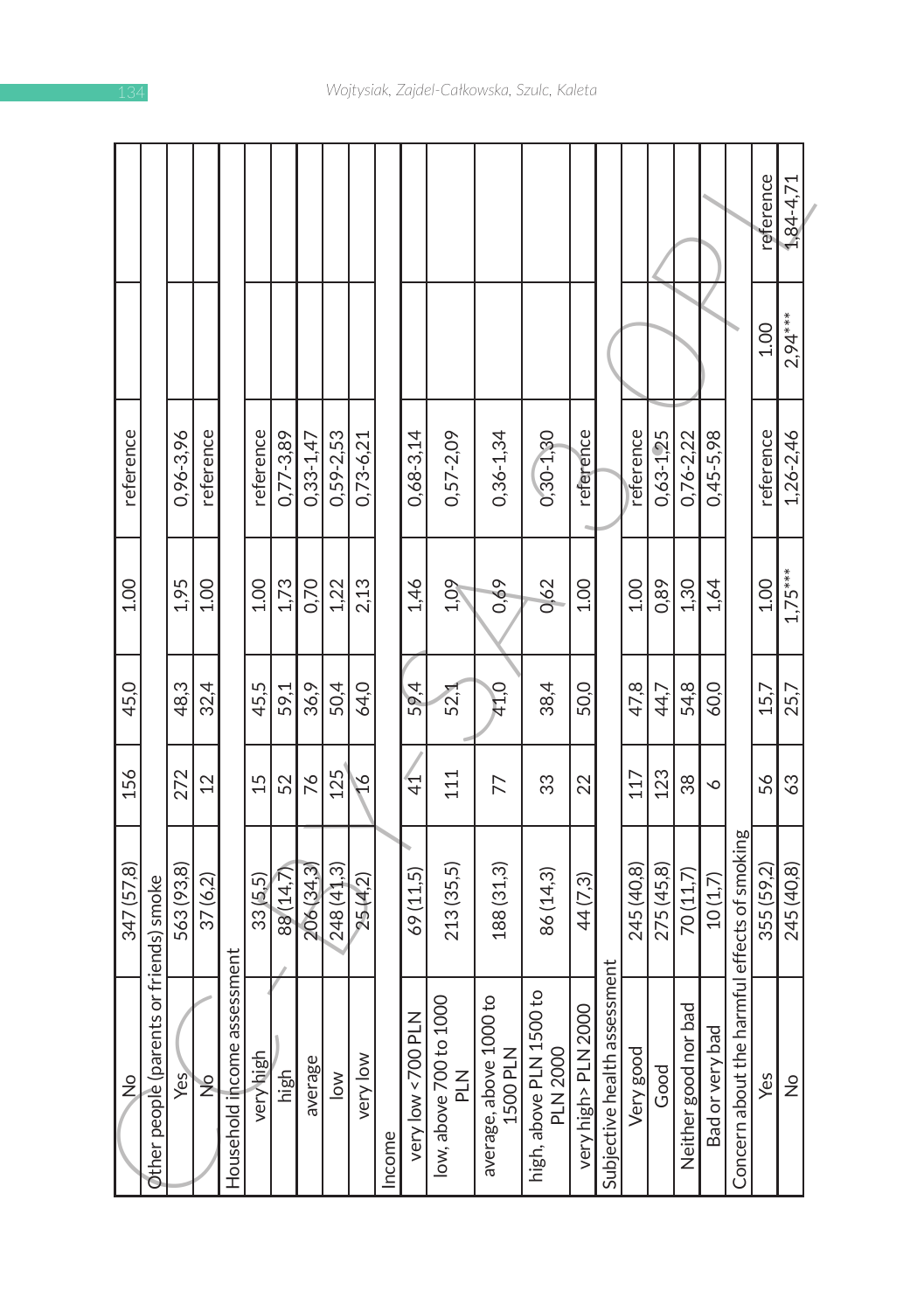|                                                      | 347 (57,8) | 156     | 45,0 | 2.00      | reference     |           |             |
|------------------------------------------------------|------------|---------|------|-----------|---------------|-----------|-------------|
| Other people (parents or friends) smoke              |            |         |      |           |               |           |             |
| Yes                                                  | 563 (93.8) | 272     | 48,3 | 1,95      | 0,96-3,96     |           |             |
| $\frac{6}{5}$                                        | 37(6,2)    | 12      | 32,4 | 1.00      | reference     |           |             |
| Household income assessment                          |            |         |      |           |               |           |             |
| veryhigh                                             | 33(5,5)    | 15      | 45,5 | 1.00      | reference     |           |             |
| high                                                 | 88 (14,7)  | 52      | 59,1 | 1,73      | $0,77-3,89$   |           |             |
| average                                              | 206 (34.3) | 76      | 36,9 | 0,70      | $0,33-1,47$   |           |             |
| $\frac{1}{2}$                                        | 248 (41,3) | 125     | 50,4 | 1,22      | 0,59-2,53     |           |             |
| very low                                             | 25 (4,2)   | Ş       | 64,0 | 2,13      | $0,73 - 6,21$ |           |             |
| Income                                               |            |         |      |           |               |           |             |
| <b>NTd</b><br>very low <700                          | 69 (11,5)  | 41<br>4 | 59,4 | 1,46      | $0,68-3,14$   |           |             |
| low, above 700 to 1000<br>PLN                        | 213(35,5)  | 111     | 52,1 | 1,09      | $0,57-2,09$   |           |             |
| average, above 1000 to 1500 PLN                      | 188 (31,3) | 77      | 41,0 | 0,69      | $0,36 - 1,34$ |           |             |
| high, above PLN 1500 to<br>PLN 2000                  | 86 (14,3)  | 33      | 38,4 | 0,62      | $0,30 - 1,30$ |           |             |
|                                                      | 44 (7,3)   | 22      | 50,0 | 1.00      | reference     |           |             |
| very high > PLN 2000<br>Subjective health assessment |            |         |      |           |               |           |             |
| Very good                                            | 245 (40.8) | 117     | 47,8 | 1.00      | reference     |           |             |
| Good                                                 | 275 (45,8) | 123     | 44,7 | 0,89      | $0,63 - 1,25$ |           |             |
| Neither good nor bad                                 | 70(11,7)   | 38      | 54,8 | 1,30      | 0,76-2,22     |           |             |
| Bad or very bad                                      | 10(1,7)    | $\sim$  | 60,0 | 1,64      | $0,45-5,98$   |           |             |
| Concern about the harmful effects of smoking         |            |         |      |           |               |           |             |
| Yes                                                  | 355 (59.2) | 56      | 15.7 | 1.00      | reference     | 1.00      | reference   |
| $\frac{1}{2}$                                        | 245 (40,8) | 63      | 25,7 | $1,75***$ | 1,26-2,46     | $2,94***$ | $1,84-4,71$ |
|                                                      |            |         |      |           |               |           |             |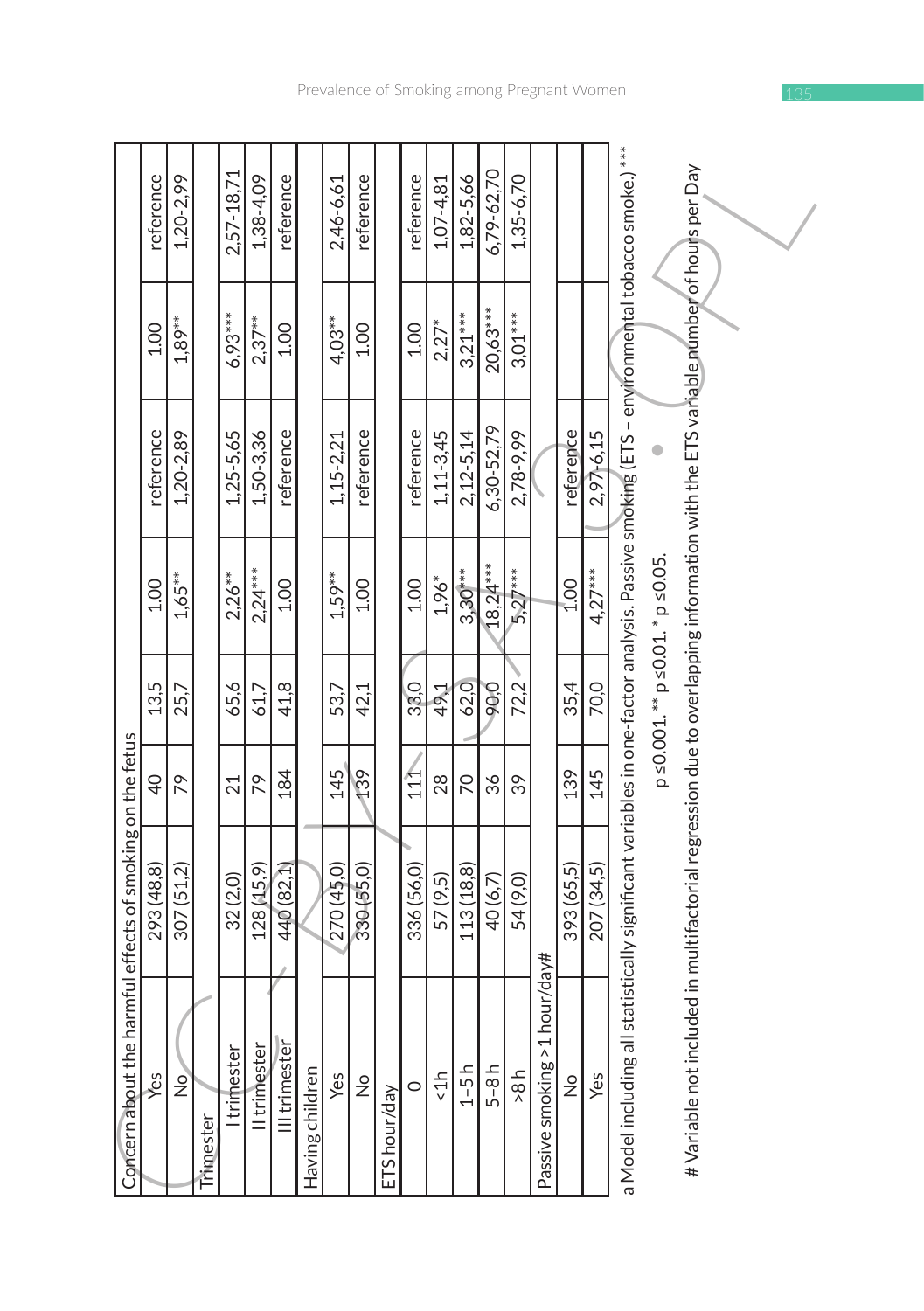| Concern about the harmful effects of smoking on the fetus                                                                                               |            |                |      |                                                  |                 |           |             |
|---------------------------------------------------------------------------------------------------------------------------------------------------------|------------|----------------|------|--------------------------------------------------|-----------------|-----------|-------------|
| Yes                                                                                                                                                     | 293 (48,8) | $\overline{Q}$ | 13,5 | 1.00                                             | reference       | 1.00      | reference   |
| $\frac{1}{2}$                                                                                                                                           | 307 (51,2) | 79             | 25,7 | $1,65***$                                        | 1,20-2,89       | $1,89**$  | 1,20-2,99   |
| Trimester                                                                                                                                               |            |                |      |                                                  |                 |           |             |
| I trimester                                                                                                                                             | 32(2,0)    | 21             | 65,6 | $2,26**$                                         | $1,25 - 5,65$   | 6,93***   | 2,57-18,71  |
| Il trimester                                                                                                                                            | 128 (15.9) | 79             | 61,7 | $2,24***$                                        | 1,50-3,36       | $2,37**$  | 1,38-4,09   |
| III trimeste                                                                                                                                            | 440 (82,1) | 184            | 41,8 | 1.00                                             | reference       | 1.00      | reference   |
| Having children                                                                                                                                         |            |                |      |                                                  |                 |           |             |
| Yes                                                                                                                                                     | 270 (45.0) | 145            | 53,7 | $1,59***$                                        | $1,15-2,21$     | $4,03**$  | 2,46-6,61   |
| $\frac{1}{2}$                                                                                                                                           | 330 (55,0) | 139            | 42,1 | 1.00                                             | reference       | 1.00      | reference   |
| ETS hour/day                                                                                                                                            |            |                |      |                                                  |                 |           |             |
| $\circ$                                                                                                                                                 | 336 (56,0) | 11<br>11       | 33,0 | <b>00T</b>                                       | reference       | 1.00      | reference   |
| 1h                                                                                                                                                      | 57 (9.5)   | 28             | 49,1 | $1,96*$                                          | $1, 11 - 3, 45$ | $2,27*$   | $1,07-4,81$ |
| $1 - 5 h$                                                                                                                                               | 113 (18,8) | 70             | 62,0 | $3,30***$                                        | $2,12 - 5,14$   | $3,21***$ | 1,82-5,66   |
| $5 - 8 h$                                                                                                                                               | 40 (6,7)   | 36             | 90,0 | $18,24***$                                       | 6,30-52,79      | 20,63***  | 6,79-62,70  |
| 48 <sub>2</sub>                                                                                                                                         | 54 (9,0)   | 39             | 72,2 | $5,27***$                                        | 2,78-9,99       | $3,01***$ | $1,35-6,70$ |
| 1 hour/day#<br>Passive smoking >                                                                                                                        |            |                |      |                                                  |                 |           |             |
| $\frac{1}{2}$                                                                                                                                           | 393 (65,5) | 139            | 35,4 | 1.00                                             | reference       |           |             |
| Yes                                                                                                                                                     | 207 (34,5) | 145            | 70,0 | $4,27***$                                        | $2,97 - 6,15$   |           |             |
| a Model including all statistically significant variables in one-factor analysis. Passive smok <del>in</del> g (ETS - environmental tobacco smoke.) *** |            |                |      |                                                  |                 |           |             |
|                                                                                                                                                         |            |                |      | $p \le 0.001$ .** $p \le 0.01$ .* $p \le 0.05$ . |                 |           |             |
| # Variable not included in multifactorial regression due to overlapping information with the ETS variable pumber of hours per Day                       |            |                |      |                                                  |                 |           |             |
|                                                                                                                                                         |            |                |      |                                                  |                 |           |             |
|                                                                                                                                                         |            |                |      |                                                  |                 |           |             |
|                                                                                                                                                         |            |                |      |                                                  |                 |           |             |
|                                                                                                                                                         |            |                |      |                                                  |                 |           |             |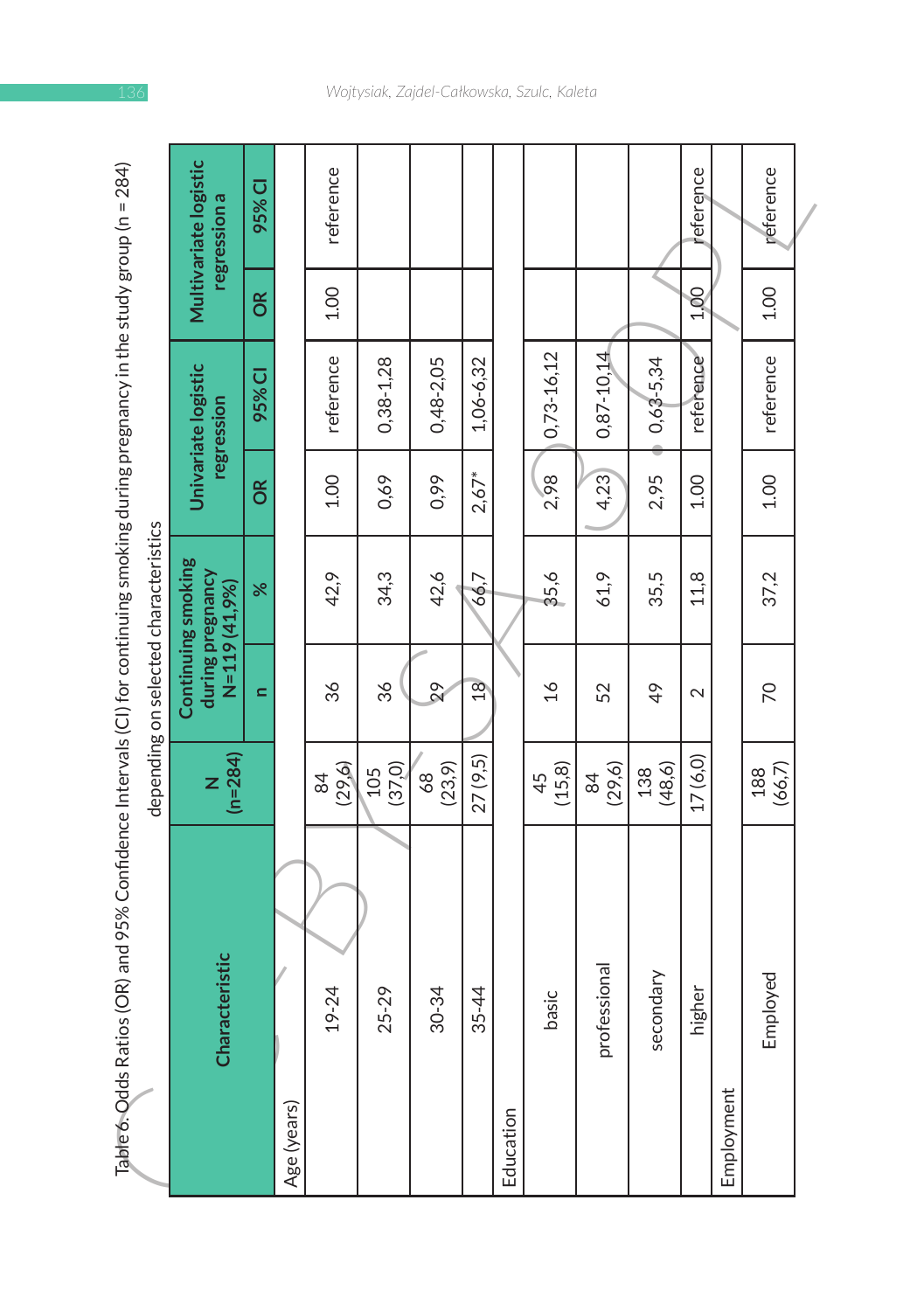| Table 6. Odds Ratios (OR) and 95% Confidence Intervals (CI) for continuing smoking during pregnancy in the study group (n = 284) |                 |                   | depending on selected characteristics                   |               |                                   |      |                                       |
|----------------------------------------------------------------------------------------------------------------------------------|-----------------|-------------------|---------------------------------------------------------|---------------|-----------------------------------|------|---------------------------------------|
| Characteristic                                                                                                                   | $(n=284)$<br>z  |                   | Continuing smoking<br>during pregnancy<br>N=119 (41,9%) |               | Univariate logistic<br>regression |      | Multivariate logistic<br>regression a |
|                                                                                                                                  |                 | $\blacksquare$    | ৼ                                                       | $\frac{R}{C}$ | 95% CI                            | õ    | 95% CI                                |
| Age (years)                                                                                                                      |                 |                   |                                                         |               |                                   |      |                                       |
| 19-24                                                                                                                            | (29, 6)<br>84   | 36                | 42,9                                                    | 1.00          | reference                         | 1.00 | reference                             |
| $25 - 29$                                                                                                                        | (37,0)<br>105   | 36                | 34,3                                                    | 0,69          | $0,38 - 1,28$                     |      |                                       |
| $30 - 34$                                                                                                                        | (23, 9)<br>89   | $\overline{2}$    | 42,6                                                    | 0,99          | $0,48-2,05$                       |      |                                       |
| $35 - 44$                                                                                                                        | 27(9,5)         | 18                | 66,7                                                    | $2,67*$       | $1,06-6,32$                       |      |                                       |
| Education                                                                                                                        |                 |                   |                                                         |               |                                   |      |                                       |
| basic                                                                                                                            | (15, 8)<br>45   | $\frac{8}{1}$     | 35,6                                                    | 2,98          | $0,73-16,12$                      |      |                                       |
| professional                                                                                                                     | (29, 6)<br>84   | 52                | 61,9                                                    | 4,23          | $0,87 - 10,14$                    |      |                                       |
| secondary                                                                                                                        | (48, 6)<br>138  | $\frac{4}{9}$     | 35,5                                                    | 2,95          | $0,63 - 5,34$                     |      |                                       |
| higher                                                                                                                           | 17 (6,0)        | $\mathbf{\Omega}$ | 11,8                                                    | 1.00          | reference                         | 1.00 | reference                             |
| Employment                                                                                                                       |                 |                   |                                                         |               |                                   |      |                                       |
| Employed                                                                                                                         | $188$<br>(66,7) | 70                | 37,2                                                    | 1.00          | reference                         | 1.00 | reference                             |
|                                                                                                                                  |                 |                   |                                                         |               |                                   |      |                                       |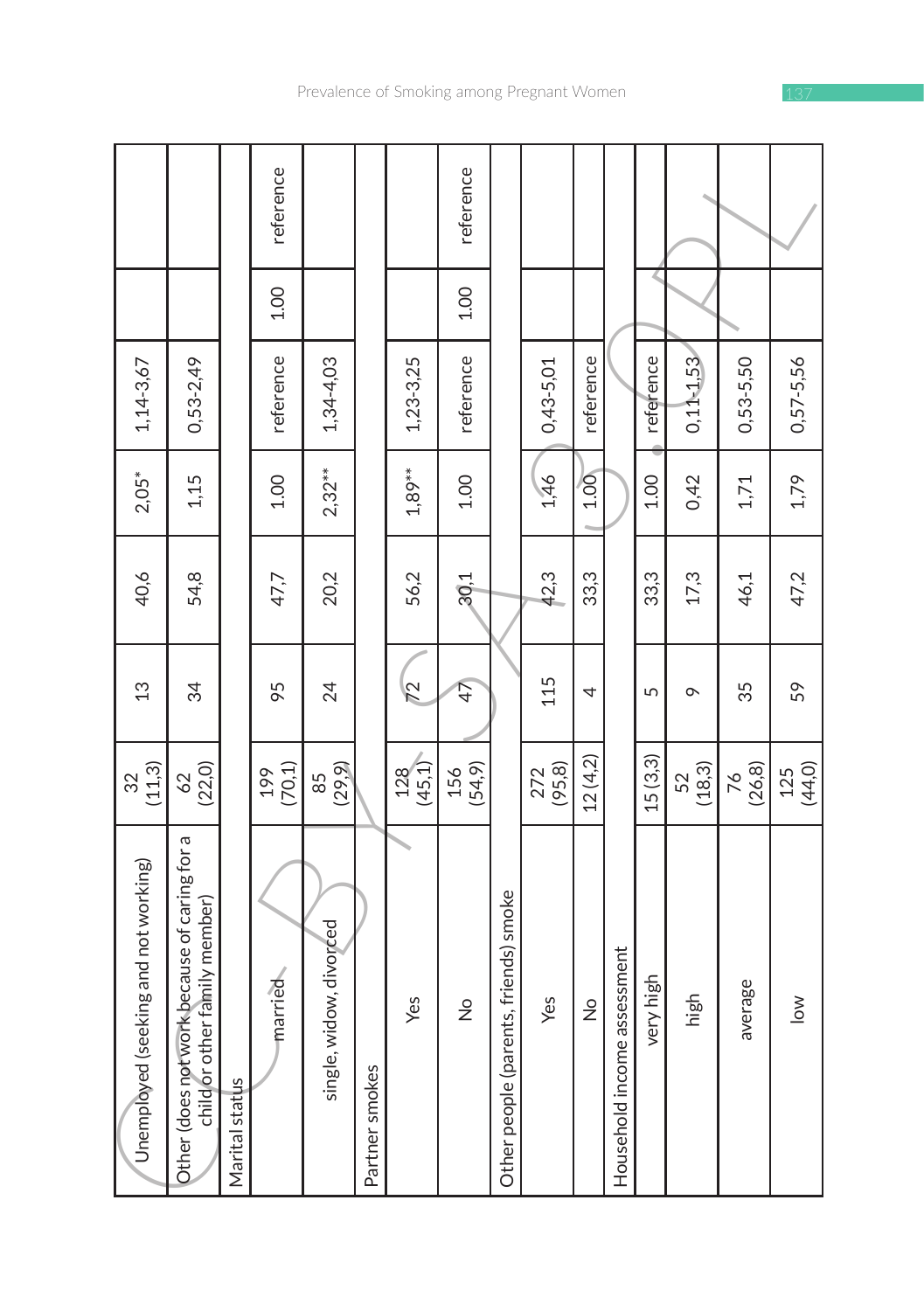|                                        |                                                                               |                | reference      |                            |                |                | reference      |                                            |                |               |                                 |           |               |               |                |
|----------------------------------------|-------------------------------------------------------------------------------|----------------|----------------|----------------------------|----------------|----------------|----------------|--------------------------------------------|----------------|---------------|---------------------------------|-----------|---------------|---------------|----------------|
|                                        |                                                                               |                | 1.00           |                            |                |                | 1.00           |                                            |                |               |                                 |           |               |               |                |
| $1, 14 - 3, 67$                        | $0,53-2,49$                                                                   |                | reference      | 1,34-4,03                  |                | 1,23-3,25      | reference      |                                            | $0,43-5,01$    | reference     |                                 | reference | 0,111.53      | 0,53-5,50     | $0,57 - 5,56$  |
| $2,05*$                                | 1,15                                                                          |                | 1.00           | $2,32***$                  |                | $1,89**$       | 1.00           |                                            | 1,46           | 1.00          |                                 | 1.00      | 0,42          | 1,71          | 1,79           |
| 40,6                                   | 54,8                                                                          |                | 47,7           | 20,2                       |                | 56,2           | 30,1           |                                            | 42,3           | 33,3          |                                 | 33,3      | 17,3          | 46,1          | 47,2           |
| 13                                     | 34                                                                            |                | 95             | 24                         |                | $\overline{7}$ | 47             |                                            | 115            | 4             |                                 | 5         | $\circ$       | 35            | 59             |
| (11, 3)<br>32                          | (22,0)<br>29                                                                  |                | (70, 1)<br>199 | (29.9)<br>85               |                | (45, 1)<br>128 | (54, 9)<br>156 |                                            | (95, 8)<br>272 | 12(4,2)       |                                 | 15(3,3)   | (18, 3)<br>52 | (26, 8)<br>76 | 125<br>144,0)  |
| seeking and not working)<br>Unemployed | Other (does not work because of caring for a<br>child or other family member) | Marital status | married        | widow, divorced<br>single, | Partner smokes | Yes            | $\frac{1}{2}$  | rents, friends) smoke<br>Other people (par | Yes            | $\frac{1}{2}$ | e assessment<br>Household incom | very high | high          | average       | $\frac{8}{10}$ |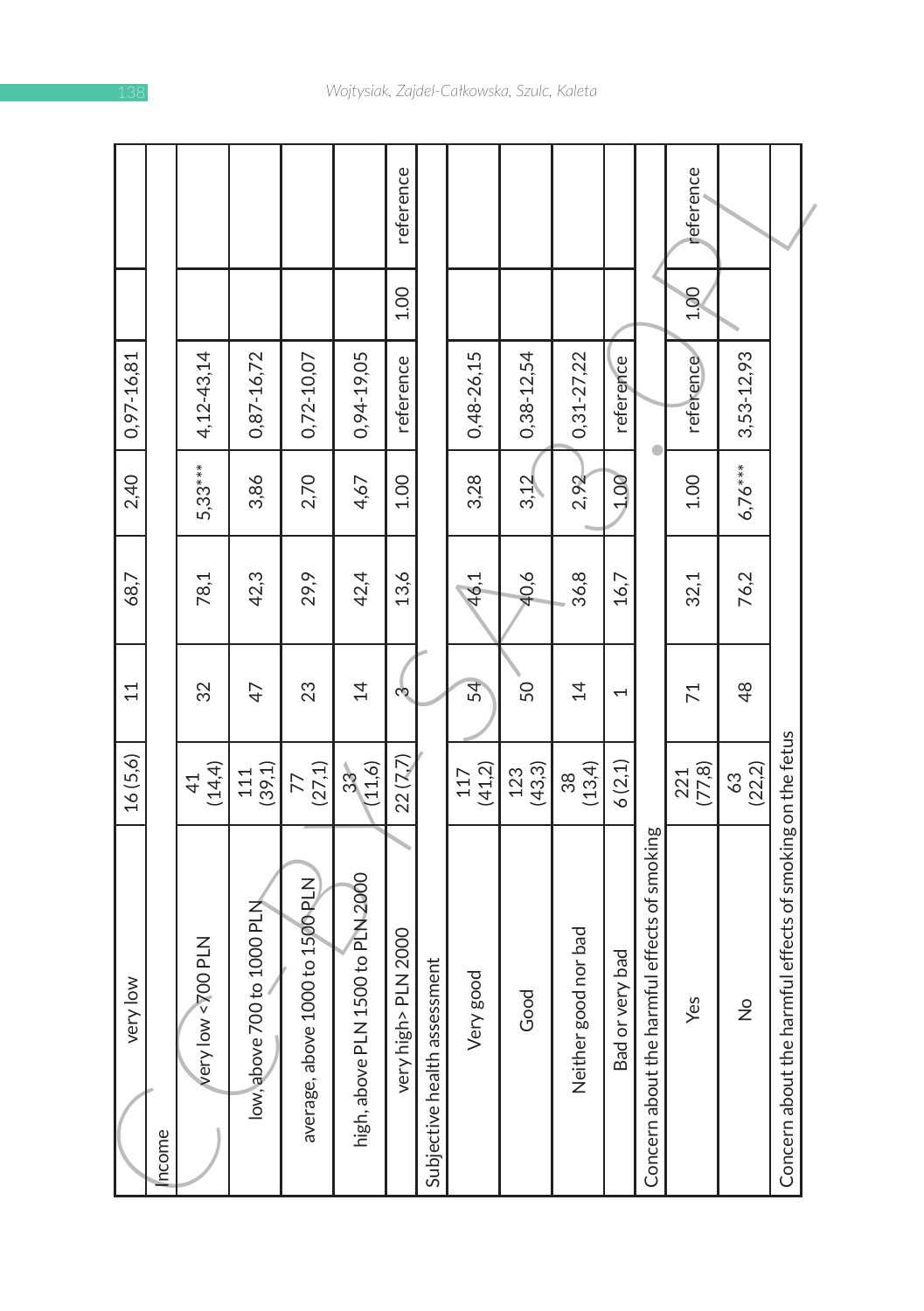| very low                                                  | 16(5,6)                   | 11                       | 68,7 | 2,40    | 0,97-16,81     |      |           |
|-----------------------------------------------------------|---------------------------|--------------------------|------|---------|----------------|------|-----------|
| ncome                                                     |                           |                          |      |         |                |      |           |
| low <700 PLN<br>very                                      | (14, 4)<br>$\overline{4}$ | 32                       | 78,1 | 5,33*** | 4,12-43,14     |      |           |
| low, above 700 to 1000 PLN                                | (39, 1)<br>111            | $\overline{4}$           | 42,3 | 3,86    | 0,87-16,72     |      |           |
| average, above 1000 to 1500 PLN                           | $77$<br>(27,1)            | 23                       | 29,9 | 2,70    | 0,72-10,07     |      |           |
| high, above PLN 1500 to PLN 2000                          | (11,6)<br>33 <sub>o</sub> | $\overline{4}$           | 42,4 | 4,67    | 0,94-19,05     |      |           |
| very high > PLN 2000                                      | 22 ( $Z$ 7)               | رى                       | 13,6 | 1.00    | reference      | 1.00 | reference |
| assessment<br>Subjective health                           |                           |                          |      |         |                |      |           |
| Very good                                                 | (41, 2)<br>117            | 54                       | 46,1 | 3,28    | 0,48-26,15     |      |           |
| Good                                                      | $123$<br>$(43, 3)$        | 50                       | 40,6 | 3,12    | $0,38 - 12,54$ |      |           |
| Neither good nor bad                                      | (13, 4)<br>38             | $\overline{4}$           | 36,8 | 2,92    | $0,31 - 27,22$ |      |           |
| Bad or very bad                                           | 6(2,1)                    | $\overline{\phantom{0}}$ | 16,7 | 1.00    | reference      |      |           |
| e harmful effects of smoking<br>Concern about th          |                           |                          |      |         |                |      |           |
| Yes                                                       | (77, 8)<br>221            | $\overline{7}$           | 32,1 | 1.00    | reference      | 1.00 | reference |
| $\frac{1}{2}$                                             | (22, 2)<br>63             | 48                       | 76,2 | 6,76*** | 3,53-12,93     |      |           |
| Concern about the harmful effects of smoking on the fetus |                           |                          |      |         |                |      |           |
|                                                           |                           |                          |      |         |                |      |           |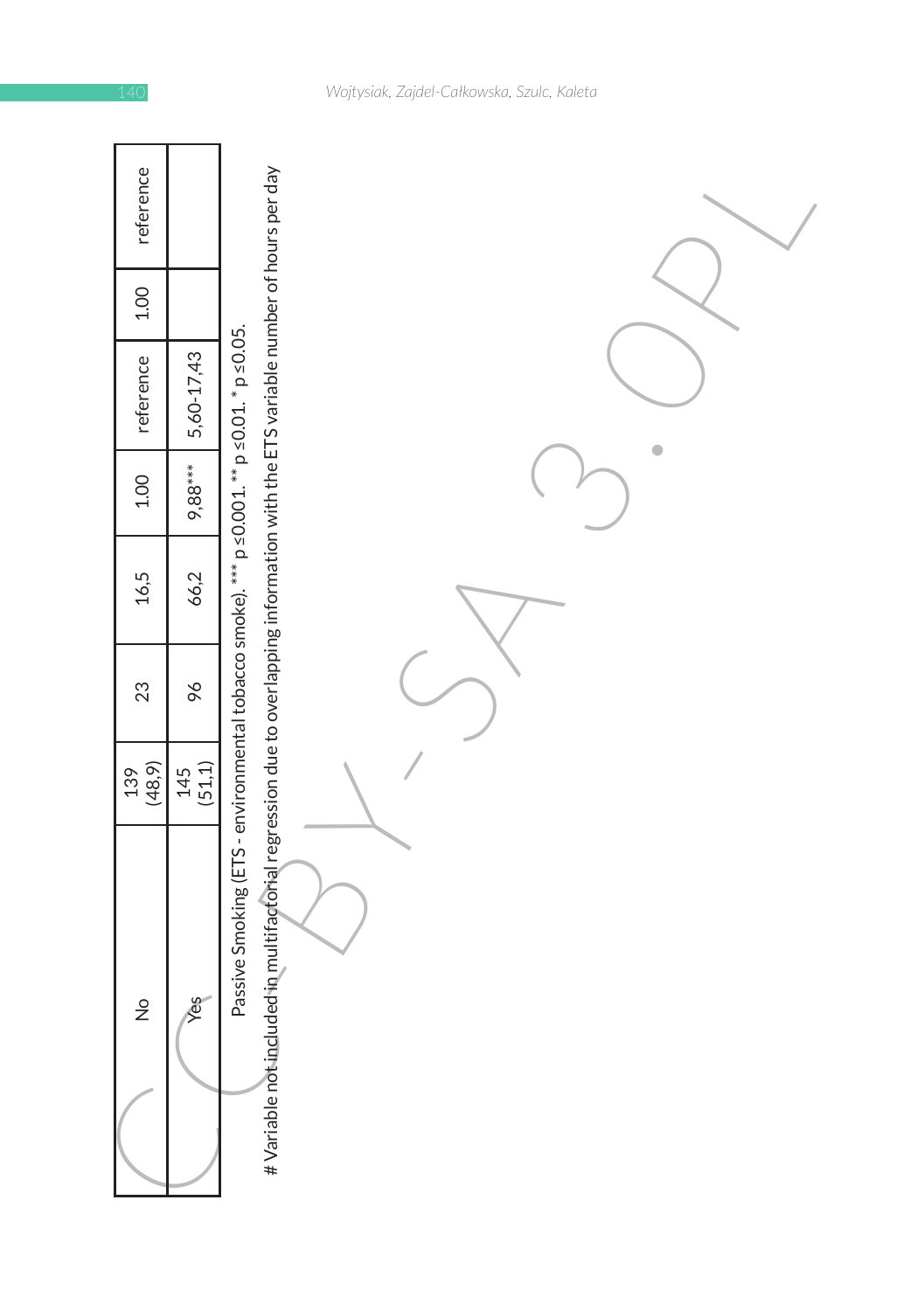| reference      |                 |                                                                                                                                                                                                                                 |
|----------------|-----------------|---------------------------------------------------------------------------------------------------------------------------------------------------------------------------------------------------------------------------------|
| $1.00\,$       |                 |                                                                                                                                                                                                                                 |
| reference      | 5,60-17,43      |                                                                                                                                                                                                                                 |
| 1.00           | 9,88***         |                                                                                                                                                                                                                                 |
| 16,5           | 66,2            |                                                                                                                                                                                                                                 |
| 23             | 96              |                                                                                                                                                                                                                                 |
| (48, 9)<br>139 | $145$<br>(51,1) |                                                                                                                                                                                                                                 |
| $\frac{1}{2}$  | Yes             | # Variable not included in multifactorial regression due to overlapping information with the ETS variable number of hours per day<br>Passive Smoking (ETS - environmental tobacco smoke). **** p ≤0.001. ** p ≤0.01. * p ≤0.05. |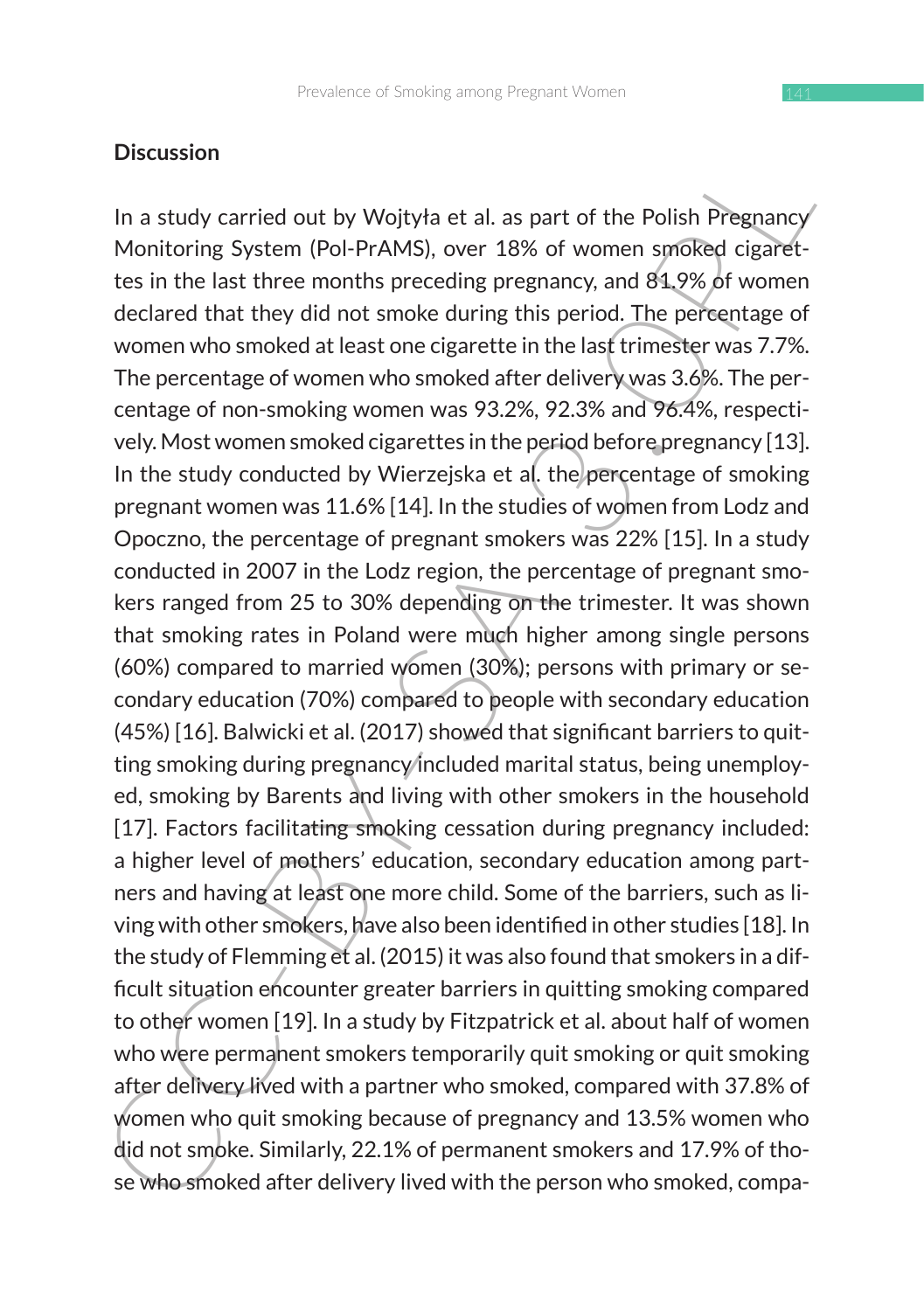#### **Discussion**

Discussion<br>
In a study carried out by Wojtyła et al. as part of the Polish Pregnancy<br>
Monitoring System (Pol-PrAMS), over 18% of women smoked cigaret-<br>
Monitoring System (Pol-PrAMS), over 18% of women smoked cigaret-<br>
tes In a study carried out by Wojtyła et al. as part of the Polish Pregnancy Monitoring System (Pol-PrAMS), over 18% of women smoked cigarettes in the last three months preceding pregnancy, and 81.9% of women declared that they did not smoke during this period. The percentage of women who smoked at least one cigarette in the last trimester was 7.7%. The percentage of women who smoked after delivery was 3.6%. The percentage of non-smoking women was 93.2%, 92.3% and 96.4%, respectively. Most women smoked cigarettes in the period before pregnancy [13]. In the study conducted by Wierzejska et al. the percentage of smoking pregnant women was 11.6% [14]. In the studies of women from Lodz and Opoczno, the percentage of pregnant smokers was 22% [15]. In a study conducted in 2007 in the Lodz region, the percentage of pregnant smokers ranged from 25 to 30% depending on the trimester. It was shown that smoking rates in Poland were much higher among single persons (60%) compared to married women (30%); persons with primary or secondary education (70%) compared to people with secondary education (45%) [16]. Balwicki et al. (2017) showed that significant barriers to quitting smoking during pregnancy/included marital status, being unemployed, smoking by Barents and living with other smokers in the household [17]. Factors facilitating smoking cessation during pregnancy included: a higher level of mothers' education, secondary education among partners and having at least one more child. Some of the barriers, such as living with other smokers, have also been identified in other studies [18]. In the study of Flemming et al. (2015) it was also found that smokers in a difficult situation encounter greater barriers in quitting smoking compared to other women [19]. In a study by Fitzpatrick et al. about half of women who were permanent smokers temporarily quit smoking or quit smoking after delivery lived with a partner who smoked, compared with 37.8% of women who quit smoking because of pregnancy and 13.5% women who did not smoke. Similarly, 22.1% of permanent smokers and 17.9% of those who smoked after delivery lived with the person who smoked, compa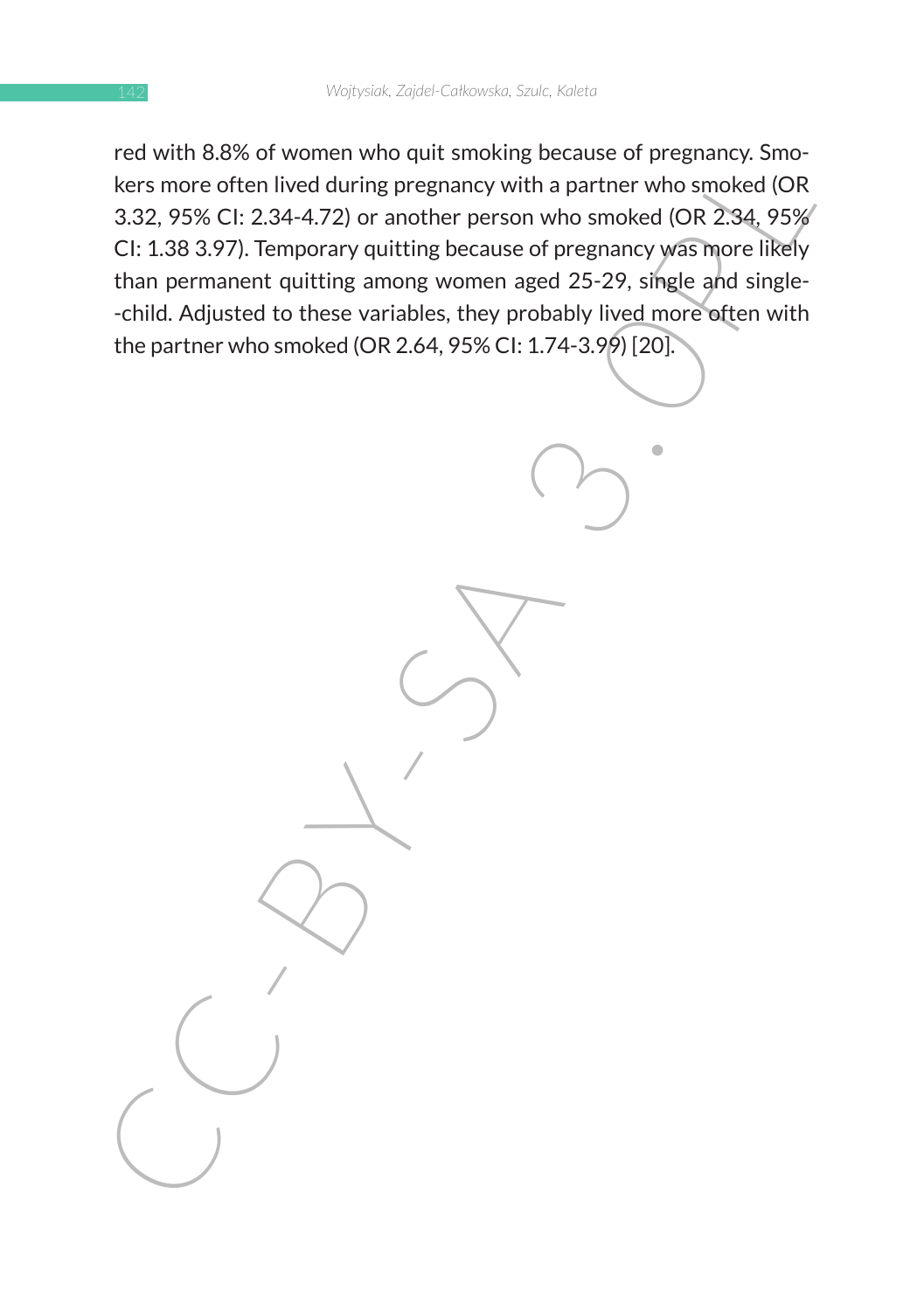Fest more often lived during pregnancy with a partner who smoked (OR 2:34, 95%)<br>kers more often lived during pregnancy with a partner who smoked (OR 2:34, 95%)<br>3.32, 95% CI: 2.34-4.72) or another person who smoked (OR 2:34 red with 8.8% of women who quit smoking because of pregnancy. Smokers more often lived during pregnancy with a partner who smoked (OR 3.32, 95% CI: 2.34-4.72) or another person who smoked (OR 2.34, 95% CI: 1.38 3.97). Temporary quitting because of pregnancy was more likely than permanent quitting among women aged 25-29, single and single--child. Adjusted to these variables, they probably lived more often with the partner who smoked (OR 2.64, 95% CI: 1.74-3.99) [20].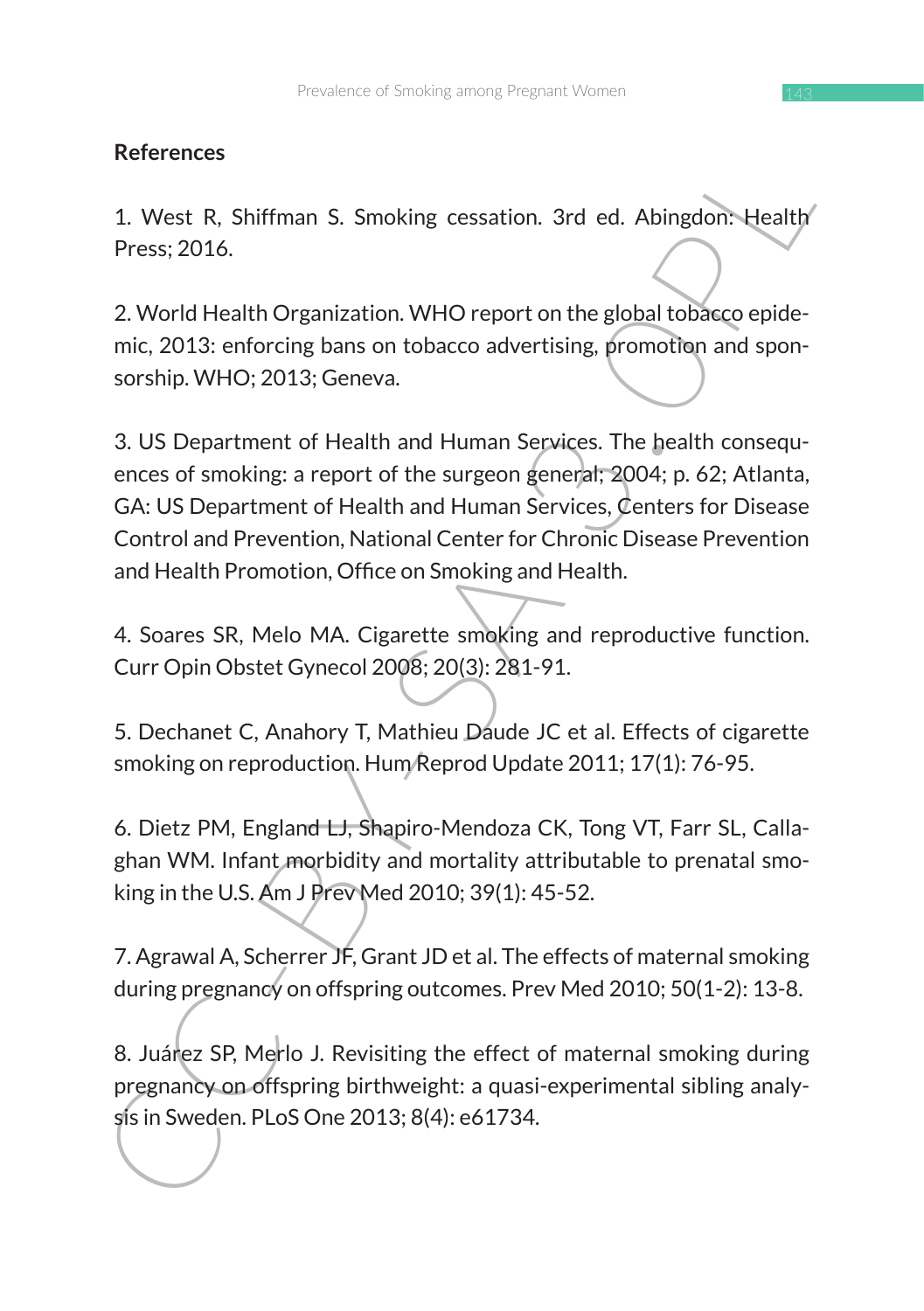# **References**

1. West R, Shiffman S. Smoking cessation. 3rd ed. Abingdon: Health Press; 2016.

2. World Health Organization. WHO report on the global tobacco epidemic, 2013: enforcing bans on tobacco advertising, promotion and sponsorship. WHO; 2013; Geneva.

References<br>
1. West R, Shiffman S. Smoking cessation. 3rd ed. Abingdon: Health<br>
Press; 2016.<br>
2. World Health Organization. WHO report on the global tobacco epide-<br>
mic, 2013: enforcing bans on tobacco advertising, promoti 3. US Department of Health and Human Services. The health consequences of smoking: a report of the surgeon general; 2004; p. 62; Atlanta, GA: US Department of Health and Human Services, Centers for Disease Control and Prevention, National Center for Chronic Disease Prevention and Health Promotion, Office on Smoking and Health.

4. Soares SR, Melo MA. Cigarette smoking and reproductive function. Curr Opin Obstet Gynecol 2008; 20(3): 281-91.

5. Dechanet C, Anahory T, Mathieu Daude JC et al. Effects of cigarette smoking on reproduction. Hum Reprod Update 2011; 17(1): 76-95.

6. Dietz PM, England LJ, Shapiro-Mendoza CK, Tong VT, Farr SL, Callaghan WM. Infant morbidity and mortality attributable to prenatal smoking in the U.S. Am J Prev Med 2010; 39(1): 45-52.

7. Agrawal A, Scherrer JF, Grant JD et al. The effects of maternal smoking during pregnancy on offspring outcomes. Prev Med 2010; 50(1-2): 13-8.

8. Juárez SP, Merlo J. Revisiting the effect of maternal smoking during pregnancy on offspring birthweight: a quasi-experimental sibling analysis in Sweden. PLoS One 2013; 8(4): e61734.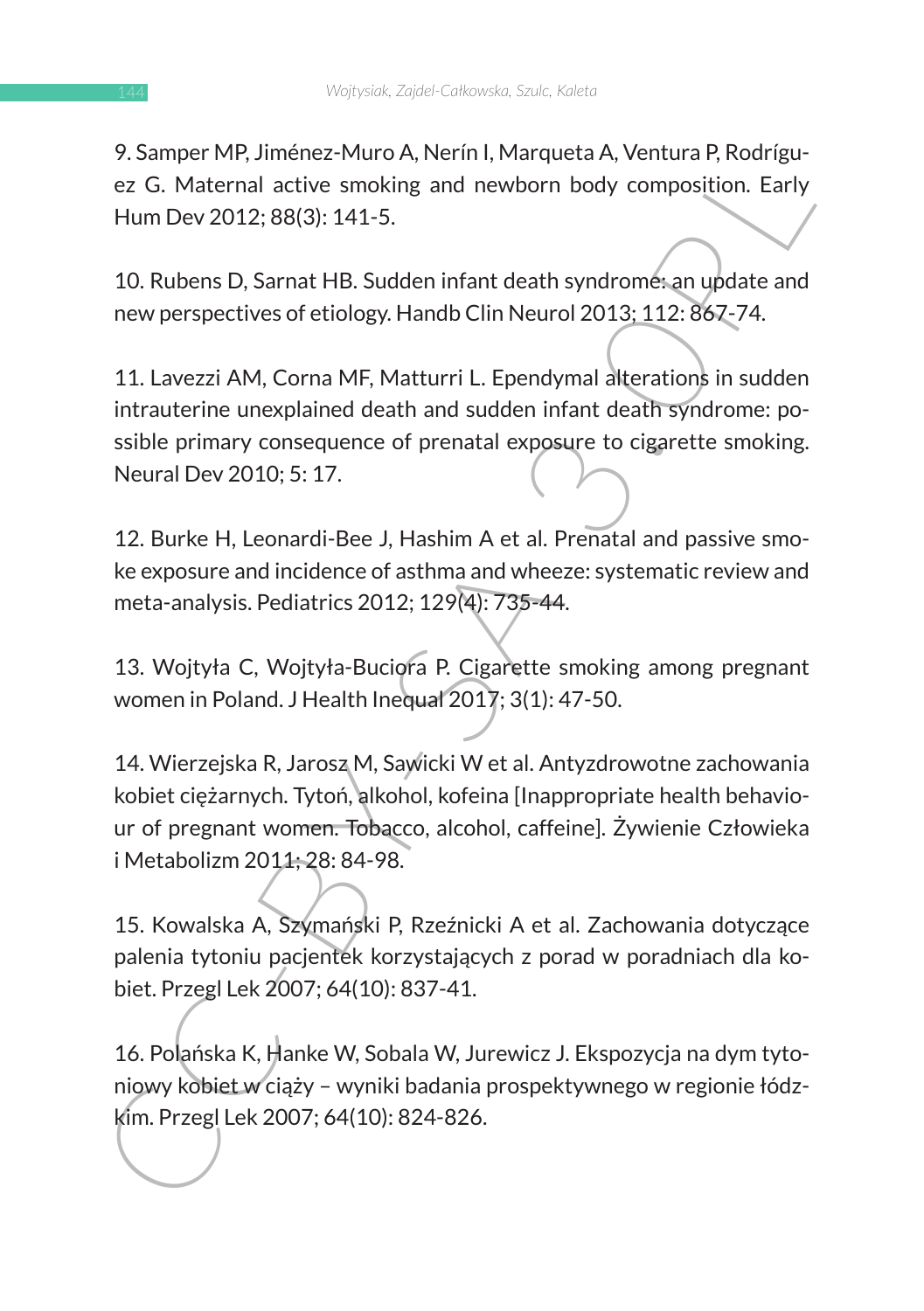9. Samper MP, Jiménez-Muro A, Nerín I, Marqueta A, Ventura P, Rodríguez G. Maternal active smoking and newborn body composition. Early Hum Dev 2012; 88(3): 141-5.

10. Rubens D, Sarnat HB. Sudden infant death syndrome: an update and new perspectives of etiology. Handb Clin Neurol 2013; 112: 867-74.

9. Samper viry, intentez-viou o, Nerini, warqueta A, ventura P, Roungu-<br>
ez G. Maternal active smoking and newborn body composition. Early<br>
Hum Dev 2012; 88(3): 141-5.<br>
10. Rubens D. Sarnat HB. Sudden infant death syndromé 11. Lavezzi AM, Corna MF, Matturri L. Ependymal alterations in sudden intrauterine unexplained death and sudden infant death syndrome: possible primary consequence of prenatal exposure to cigarette smoking. Neural Dev 2010; 5: 17.

12. Burke H, Leonardi-Bee J, Hashim A et al. Prenatal and passive smoke exposure and incidence of asthma and wheeze: systematic review and meta-analysis. Pediatrics 2012; 129(4): 735-44.

13. Wojtyła C, Wojtyła-Buciora P. Cigarette smoking among pregnant women in Poland. J Health Inequal 2017; 3(1): 47-50.

14. Wierzejska R, Jarosz M, Sawicki W et al. Antyzdrowotne zachowania kobiet ciężarnych. Tytoń, alkohol, kofeina [Inappropriate health behaviour of pregnant women. Tobacco, alcohol, caffeine]. Żywienie Człowieka i Metabolizm 2011; 28: 84-98.

15. Kowalska A, Szymański P, Rzeźnicki A et al. Zachowania dotyczące palenia tytoniu pacjentek korzystających z porad w poradniach dla kobiet. Przegl Lek 2007; 64(10): 837-41.

16. Polańska K, Hanke W, Sobala W, Jurewicz J. Ekspozycja na dym tytoniowy kobiet w ciąży – wyniki badania prospektywnego w regionie łódzkim. Przegl Lek 2007; 64(10): 824-826.